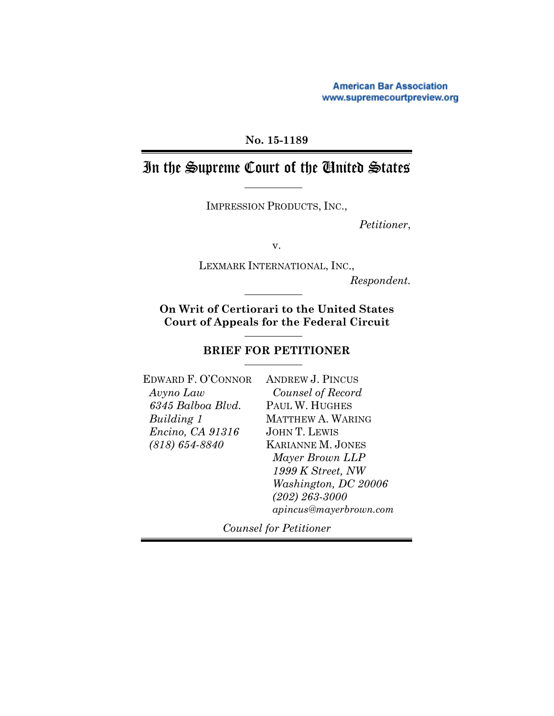**American Bar Association** www.supremecourtpreview.org

### **No. 15-1189**

# In the Supreme Court of the United States

IMPRESSION PRODUCTS, INC.,

*Petitioner*,

v.

LEXMARK INTERNATIONAL, INC.,

*Respondent.*

**On Writ of Certiorari to the United States Court of Appeals for the Federal Circuit**

### **BRIEF FOR PETITIONER**

EDWARD F. O'CONNOR *Avyno Law 6345 Balboa Blvd. Building 1 Encino, CA 91316 (818) 654-8840*

ANDREW J. PINCUS *Counsel of Record* PAUL W. HUGHES MATTHEW A. WARING JOHN T. LEWIS KARIANNE M. JONES *Mayer Brown LLP 1999 K Street, NW Washington, DC 20006 (202) 263-3000 apincus@mayerbrown.com*

*Counsel for Petitioner*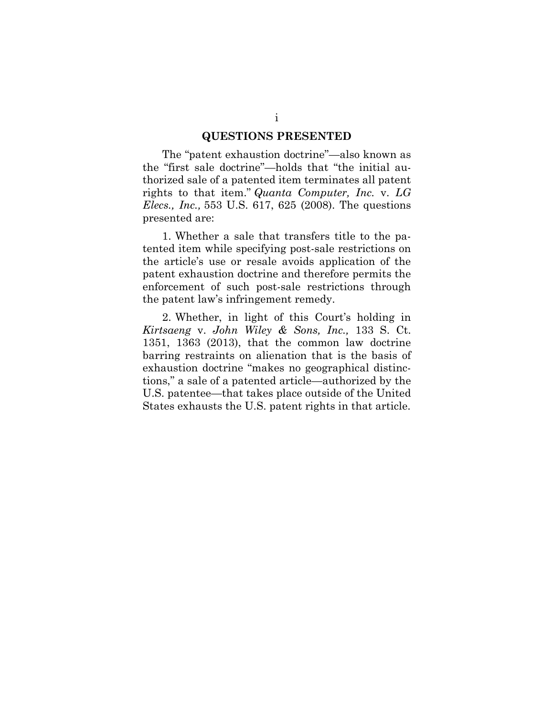#### **QUESTIONS PRESENTED**

The "patent exhaustion doctrine"—also known as the "first sale doctrine"—holds that "the initial authorized sale of a patented item terminates all patent rights to that item." *Quanta Computer, Inc.* v. *LG Elecs., Inc.,* 553 U.S. 617, 625 (2008). The questions presented are:

1. Whether a sale that transfers title to the patented item while specifying post-sale restrictions on the article's use or resale avoids application of the patent exhaustion doctrine and therefore permits the enforcement of such post-sale restrictions through the patent law's infringement remedy.

2. Whether, in light of this Court's holding in *Kirtsaeng* v. *John Wiley & Sons, Inc.,* 133 S. Ct. 1351, 1363 (2013), that the common law doctrine barring restraints on alienation that is the basis of exhaustion doctrine "makes no geographical distinctions," a sale of a patented article—authorized by the U.S. patentee—that takes place outside of the United States exhausts the U.S. patent rights in that article.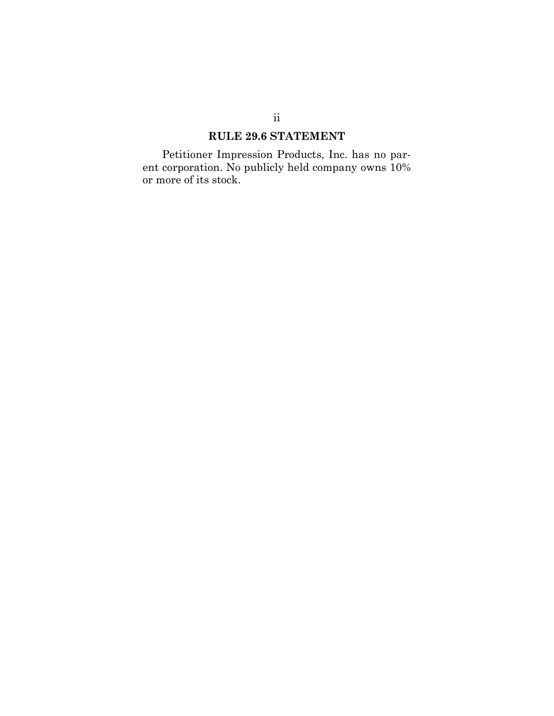### **RULE 29.6 STATEMENT**

Petitioner Impression Products, Inc. has no parent corporation. No publicly held company owns 10% or more of its stock.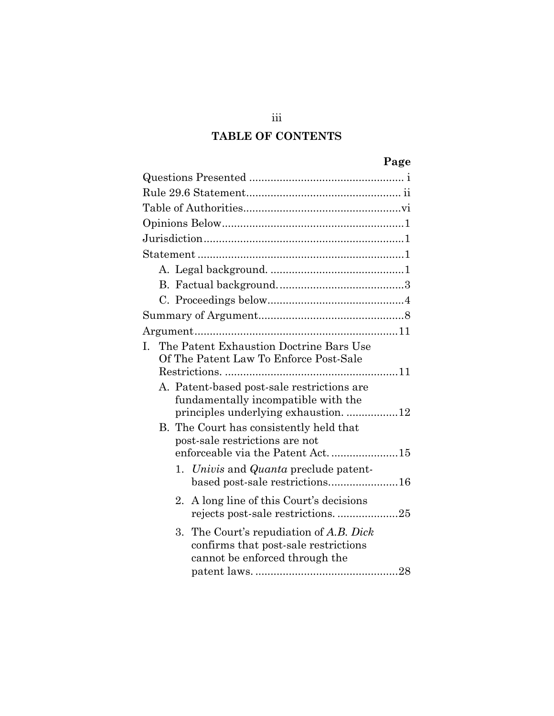## **TABLE OF CONTENTS**

| L. | The Patent Exhaustion Doctrine Bars Use<br>Of The Patent Law To Enforce Post-Sale                                         |
|----|---------------------------------------------------------------------------------------------------------------------------|
|    | A. Patent-based post-sale restrictions are<br>fundamentally incompatible with the<br>principles underlying exhaustion. 12 |
|    | B. The Court has consistently held that<br>post-sale restrictions are not<br>enforceable via the Patent Act. 15           |
|    | 1. Univis and Quanta preclude patent-<br>based post-sale restrictions16                                                   |
|    | A long line of this Court's decisions<br>$2^{\circ}$<br>rejects post-sale restrictions25                                  |
|    | 3.<br>The Court's repudiation of A.B. Dick<br>confirms that post-sale restrictions<br>cannot be enforced through the      |

iii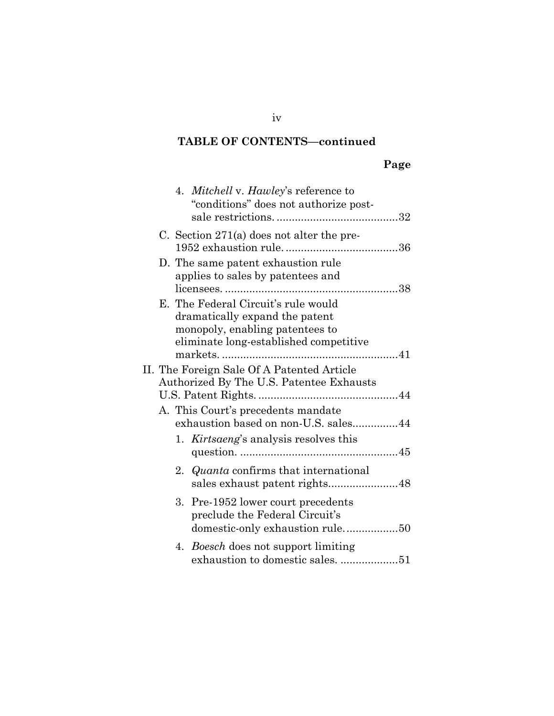# **TABLE OF CONTENTS—continued**

# **Page**

|  |    | 4. Mitchell v. Hawley's reference to<br>"conditions" does not authorize post-                                                                      |  |
|--|----|----------------------------------------------------------------------------------------------------------------------------------------------------|--|
|  |    | C. Section $271(a)$ does not alter the pre-                                                                                                        |  |
|  |    | D. The same patent exhaustion rule<br>applies to sales by patentees and                                                                            |  |
|  |    | E. The Federal Circuit's rule would<br>dramatically expand the patent<br>monopoly, enabling patentees to<br>eliminate long-established competitive |  |
|  |    | II. The Foreign Sale Of A Patented Article<br>Authorized By The U.S. Patentee Exhausts                                                             |  |
|  |    | A. This Court's precedents mandate<br>exhaustion based on non-U.S. sales44                                                                         |  |
|  |    | 1. <i>Kirtsaeng's</i> analysis resolves this                                                                                                       |  |
|  |    | 2. Quanta confirms that international<br>sales exhaust patent rights48                                                                             |  |
|  |    | 3. Pre-1952 lower court precedents<br>preclude the Federal Circuit's                                                                               |  |
|  | 4. | <i>Boesch</i> does not support limiting                                                                                                            |  |

iv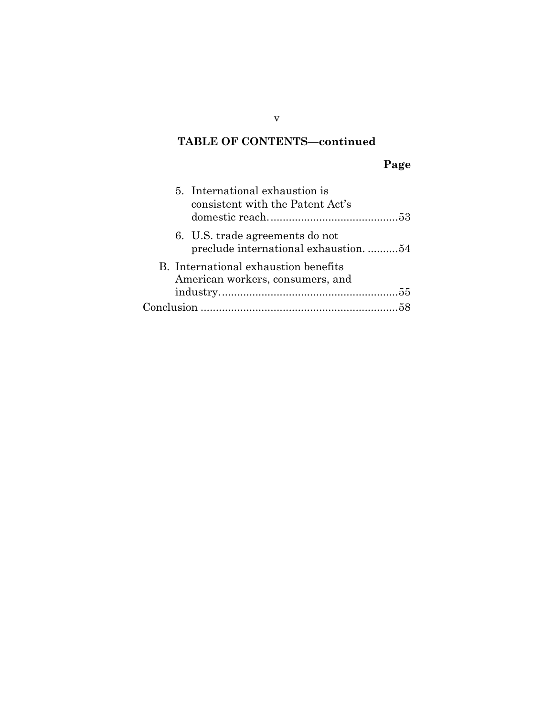## **TABLE OF CONTENTS—continued**

# **Page**

| 5. International exhaustion is<br>consistent with the Patent Act's       |
|--------------------------------------------------------------------------|
| 6. U.S. trade agreements do not<br>preclude international exhaustion. 54 |
| B. International exhaustion benefits<br>American workers, consumers, and |
|                                                                          |

v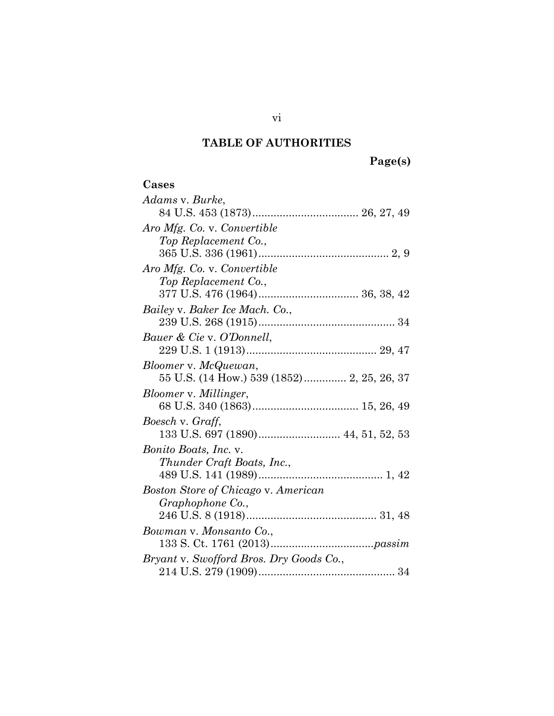# **TABLE OF AUTHORITIES**

| Cases                                      |
|--------------------------------------------|
| Adams v. Burke,                            |
|                                            |
| Aro Mfg. Co. v. Convertible                |
| Top Replacement Co.,                       |
|                                            |
| Aro Mfg. Co. v. Convertible                |
| Top Replacement Co.,                       |
|                                            |
| Bailey v. Baker Ice Mach. Co.,             |
|                                            |
| Bauer & Cie v. O'Donnell,                  |
|                                            |
| Bloomer v. McQuewan,                       |
| 55 U.S. (14 How.) 539 (1852) 2, 25, 26, 37 |
| Bloomer v. Millinger,                      |
|                                            |
| Boesch v. Graff,                           |
|                                            |
| <i>Bonito Boats, Inc.</i> v.               |
| Thunder Craft Boats, Inc.,                 |
|                                            |
| Boston Store of Chicago v. American        |
| Graphophone Co.,                           |
|                                            |
| Bowman v. Monsanto Co.,                    |
|                                            |
| Bryant v. Swofford Bros. Dry Goods Co.,    |
|                                            |

vi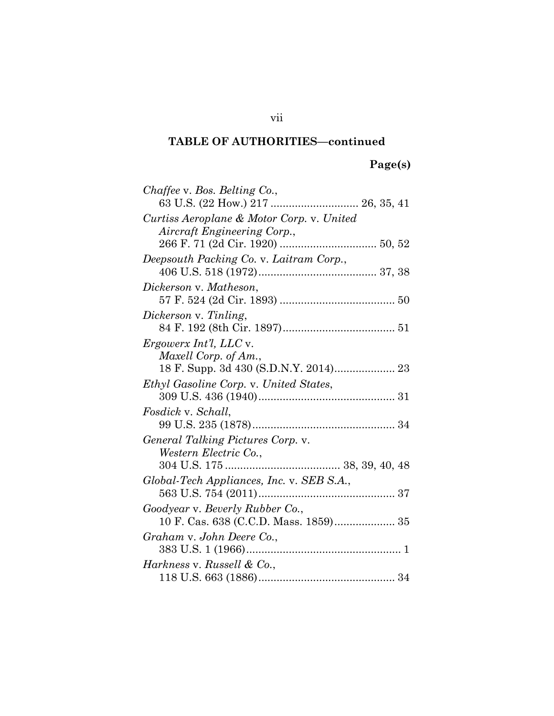| Chaffee v. Bos. Belting Co.,                  |
|-----------------------------------------------|
| 63 U.S. (22 How.) 217  26, 35, 41             |
| Curtiss Aeroplane & Motor Corp. v. United     |
| Aircraft Engineering Corp.,                   |
|                                               |
|                                               |
| Deepsouth Packing Co. v. Laitram Corp.,       |
|                                               |
| Dickerson v. Matheson,                        |
|                                               |
| Dickerson v. Tinling,                         |
|                                               |
| Ergowerx Int'l, LLC v.                        |
| Maxell Corp. of Am.,                          |
|                                               |
|                                               |
| <i>Ethyl Gasoline Corp.</i> v. United States, |
|                                               |
| Fosdick v. Schall,                            |
|                                               |
| General Talking Pictures Corp. v.             |
| Western Electric Co.,                         |
|                                               |
| Global-Tech Appliances, Inc. v. SEB S.A.,     |
|                                               |
|                                               |
| Goodyear v. Beverly Rubber Co.,               |
|                                               |
| Graham v. John Deere Co.,                     |
|                                               |
| Harkness v. Russell & Co.,                    |
|                                               |

vii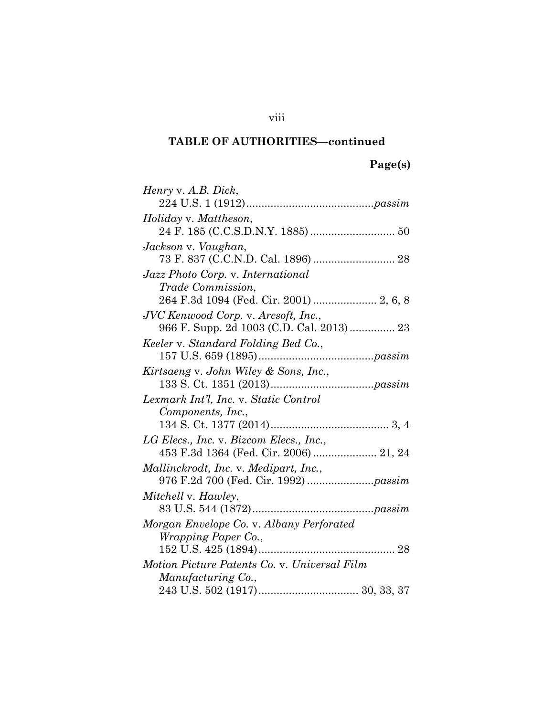# **Page(s)**

| Henry v. A.B. Dick,                                                               |
|-----------------------------------------------------------------------------------|
|                                                                                   |
| Holiday v. Mattheson,                                                             |
|                                                                                   |
| Jackson v. Vaughan,                                                               |
|                                                                                   |
| Jazz Photo Corp. v. International                                                 |
| <i>Trade Commission,</i>                                                          |
| 264 F.3d 1094 (Fed. Cir. 2001)  2, 6, 8                                           |
| JVC Kenwood Corp. v. Arcsoft, Inc.,                                               |
|                                                                                   |
| Keeler v. Standard Folding Bed Co.,                                               |
|                                                                                   |
| Kirtsaeng v. John Wiley & Sons, Inc.,                                             |
|                                                                                   |
|                                                                                   |
| Lexmark Int'l, Inc. v. Static Control                                             |
| Components, Inc.,                                                                 |
|                                                                                   |
|                                                                                   |
| LG Elecs., Inc. v. Bizcom Elecs., Inc.,<br>453 F.3d 1364 (Fed. Cir. 2006)  21, 24 |
| Mallinckrodt, Inc. v. Medipart, Inc.,                                             |
|                                                                                   |
| Mitchell v. Hawley,                                                               |
|                                                                                   |
| Morgan Envelope Co. v. Albany Perforated                                          |
| <i>Wrapping Paper Co.,</i>                                                        |
|                                                                                   |
| Motion Picture Patents Co. v. Universal Film                                      |
| Manufacturing Co.,                                                                |

viii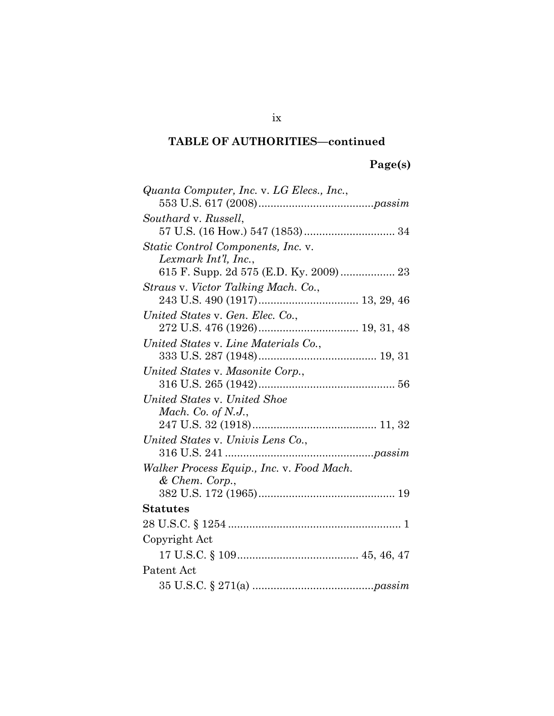# **Page(s)**

| Quanta Computer, Inc. v. LG Elecs., Inc., |
|-------------------------------------------|
|                                           |
| Southard v. Russell,                      |
|                                           |
| Static Control Components, Inc. v.        |
| Lexmark Int'l, Inc.,                      |
| Straus v. Victor Talking Mach. Co.,       |
|                                           |
| United States v. Gen. Elec. Co.,          |
|                                           |
| United States v. Line Materials Co.,      |
|                                           |
| United States v. Masonite Corp.,          |
|                                           |
| United States v. United Shoe              |
| Mach. Co. of N.J.,                        |
|                                           |
| United States v. Univis Lens Co.,         |
|                                           |
| Walker Process Equip., Inc. v. Food Mach. |
| & Chem. Corp.,                            |
|                                           |
| Statutes                                  |
|                                           |
| Copyright Act                             |
|                                           |
| Patent Act                                |
|                                           |

### ix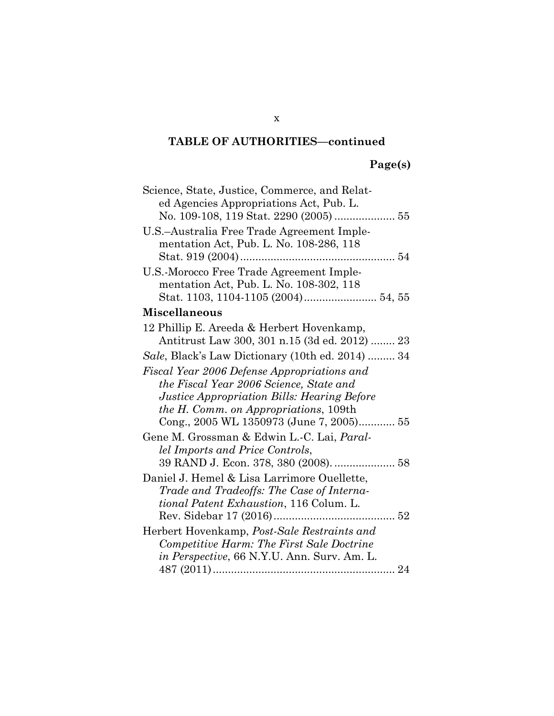# **Page(s)**

| Science, State, Justice, Commerce, and Relat-<br>ed Agencies Appropriations Act, Pub. L. |
|------------------------------------------------------------------------------------------|
|                                                                                          |
| U.S.-Australia Free Trade Agreement Imple-                                               |
| mentation Act, Pub. L. No. 108-286, 118                                                  |
|                                                                                          |
| U.S.-Morocco Free Trade Agreement Imple-                                                 |
| mentation Act, Pub. L. No. 108-302, 118                                                  |
|                                                                                          |
| <b>Miscellaneous</b>                                                                     |
| 12 Phillip E. Areeda & Herbert Hovenkamp,                                                |
| Antitrust Law 300, 301 n.15 (3d ed. 2012)  23                                            |
| Sale, Black's Law Dictionary (10th ed. 2014)  34                                         |
| Fiscal Year 2006 Defense Appropriations and                                              |
| the Fiscal Year 2006 Science, State and                                                  |
| <i>Justice Appropriation Bills: Hearing Before</i>                                       |
| <i>the H. Comm. on Appropriations, 109th</i>                                             |
| Cong., 2005 WL 1350973 (June 7, 2005) 55                                                 |
| Gene M. Grossman & Edwin L.-C. Lai, <i>Paral-</i>                                        |
| lel Imports and Price Controls,                                                          |
| 39 RAND J. Econ. 378, 380 (2008).  58                                                    |
| Daniel J. Hemel & Lisa Larrimore Ouellette,                                              |
| Trade and Tradeoffs: The Case of Interna-                                                |
| <i>tional Patent Exhaustion</i> , 116 Colum. L.                                          |
|                                                                                          |
| Herbert Hovenkamp, Post-Sale Restraints and                                              |
| Competitive Harm: The First Sale Doctrine                                                |
| <i>in Perspective,</i> 66 N.Y.U. Ann. Surv. Am. L.                                       |
|                                                                                          |

x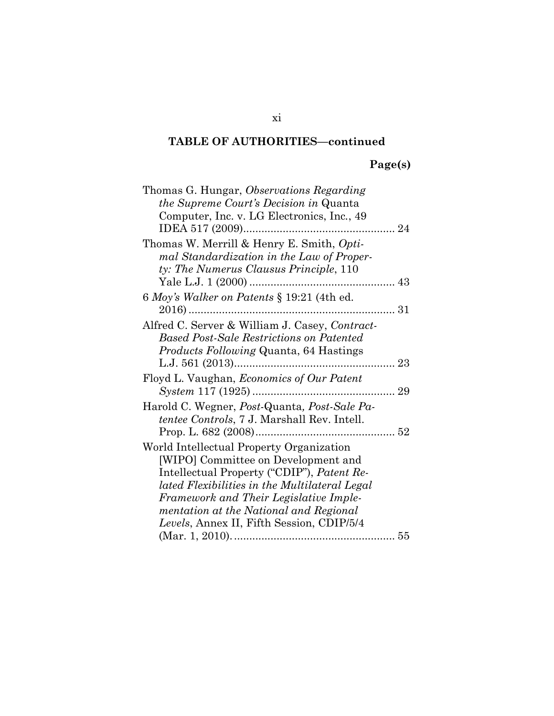# **Page(s)**

| Thomas G. Hungar, Observations Regarding<br><i>the Supreme Court's Decision in Quanta</i><br>Computer, Inc. v. LG Electronics, Inc., 49                                                                                                                                                                         |  |
|-----------------------------------------------------------------------------------------------------------------------------------------------------------------------------------------------------------------------------------------------------------------------------------------------------------------|--|
| Thomas W. Merrill & Henry E. Smith, Opti-<br>mal Standardization in the Law of Proper-<br>ty: The Numerus Clausus Principle, 110                                                                                                                                                                                |  |
| 6 Moy's Walker on Patents § 19:21 (4th ed.                                                                                                                                                                                                                                                                      |  |
| Alfred C. Server & William J. Casey, Contract-<br><b>Based Post-Sale Restrictions on Patented</b><br><i>Products Following Quanta, 64 Hastings</i>                                                                                                                                                              |  |
| Floyd L. Vaughan, <i>Economics of Our Patent</i>                                                                                                                                                                                                                                                                |  |
| Harold C. Wegner, Post-Quanta, Post-Sale Pa-<br><i>tentee Controls, 7 J. Marshall Rev. Intell.</i>                                                                                                                                                                                                              |  |
| World Intellectual Property Organization<br>[WIPO] Committee on Development and<br>Intellectual Property ("CDIP"), Patent Re-<br>lated Flexibilities in the Multilateral Legal<br>Framework and Their Legislative Imple-<br>mentation at the National and Regional<br>Levels, Annex II, Fifth Session, CDIP/5/4 |  |
|                                                                                                                                                                                                                                                                                                                 |  |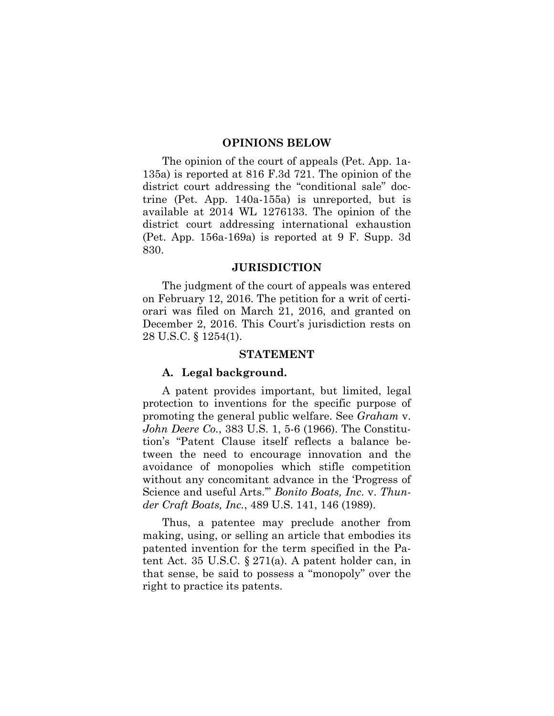#### **OPINIONS BELOW**

The opinion of the court of appeals (Pet. App. 1a-135a) is reported at 816 F.3d 721. The opinion of the district court addressing the "conditional sale" doctrine (Pet. App. 140a-155a) is unreported, but is available at 2014 WL 1276133. The opinion of the district court addressing international exhaustion (Pet. App. 156a-169a) is reported at 9 F. Supp. 3d 830.

#### **JURISDICTION**

The judgment of the court of appeals was entered on February 12, 2016. The petition for a writ of certiorari was filed on March 21, 2016, and granted on December 2, 2016. This Court's jurisdiction rests on 28 U.S.C. § 1254(1).

#### **STATEMENT**

#### **A. Legal background.**

A patent provides important, but limited, legal protection to inventions for the specific purpose of promoting the general public welfare. See *Graham* v. *John Deere Co.*, 383 U.S. 1, 5-6 (1966). The Constitution's "Patent Clause itself reflects a balance between the need to encourage innovation and the avoidance of monopolies which stifle competition without any concomitant advance in the 'Progress of Science and useful Arts.'" *Bonito Boats, Inc.* v. *Thunder Craft Boats, Inc.*, 489 U.S. 141, 146 (1989).

Thus, a patentee may preclude another from making, using, or selling an article that embodies its patented invention for the term specified in the Patent Act. 35 U.S.C. § 271(a). A patent holder can, in that sense, be said to possess a "monopoly" over the right to practice its patents.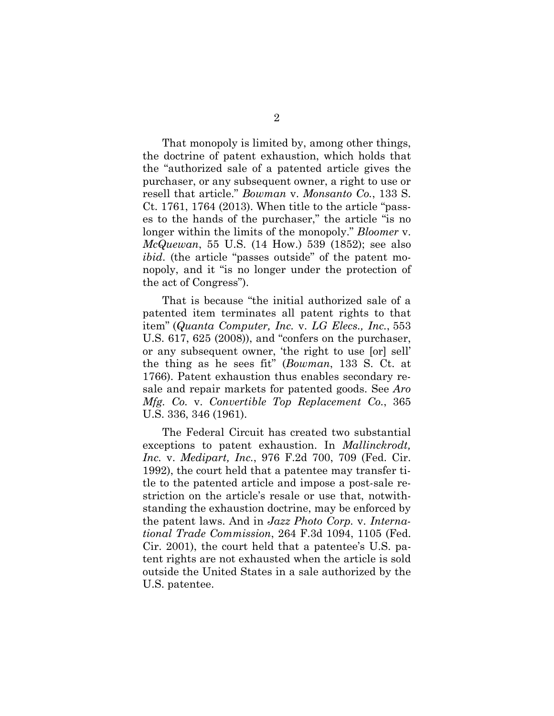That monopoly is limited by, among other things, the doctrine of patent exhaustion, which holds that the "authorized sale of a patented article gives the purchaser, or any subsequent owner, a right to use or resell that article." *Bowman* v. *Monsanto Co.*, 133 S. Ct. 1761, 1764 (2013). When title to the article "passes to the hands of the purchaser," the article "is no longer within the limits of the monopoly." *Bloomer* v. *McQuewan*, 55 U.S. (14 How.) 539 (1852); see also *ibid.* (the article "passes outside" of the patent monopoly, and it "is no longer under the protection of the act of Congress").

That is because "the initial authorized sale of a patented item terminates all patent rights to that item" (*Quanta Computer, Inc.* v. *LG Elecs., Inc.*, 553 U.S. 617, 625 (2008)), and "confers on the purchaser, or any subsequent owner, 'the right to use [or] sell' the thing as he sees fit" (*Bowman*, 133 S. Ct. at 1766). Patent exhaustion thus enables secondary resale and repair markets for patented goods. See *Aro Mfg. Co.* v. *Convertible Top Replacement Co.*, 365 U.S. 336, 346 (1961).

The Federal Circuit has created two substantial exceptions to patent exhaustion. In *Mallinckrodt, Inc.* v. *Medipart, Inc.*, 976 F.2d 700, 709 (Fed. Cir. 1992), the court held that a patentee may transfer title to the patented article and impose a post-sale restriction on the article's resale or use that, notwithstanding the exhaustion doctrine, may be enforced by the patent laws. And in *Jazz Photo Corp.* v. *International Trade Commission*, 264 F.3d 1094, 1105 (Fed. Cir. 2001), the court held that a patentee's U.S. patent rights are not exhausted when the article is sold outside the United States in a sale authorized by the U.S. patentee.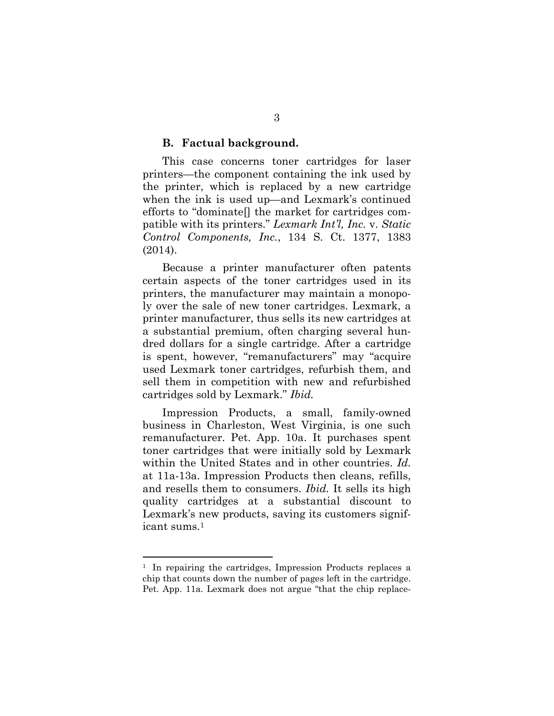#### **B. Factual background.**

This case concerns toner cartridges for laser printers—the component containing the ink used by the printer, which is replaced by a new cartridge when the ink is used up—and Lexmark's continued efforts to "dominate[] the market for cartridges compatible with its printers." *Lexmark Int'l, Inc.* v. *Static Control Components, Inc.*, 134 S. Ct. 1377, 1383 (2014).

Because a printer manufacturer often patents certain aspects of the toner cartridges used in its printers, the manufacturer may maintain a monopoly over the sale of new toner cartridges. Lexmark, a printer manufacturer, thus sells its new cartridges at a substantial premium, often charging several hundred dollars for a single cartridge. After a cartridge is spent, however, "remanufacturers" may "acquire used Lexmark toner cartridges, refurbish them, and sell them in competition with new and refurbished cartridges sold by Lexmark." *Ibid.*

Impression Products, a small, family-owned business in Charleston, West Virginia, is one such remanufacturer. Pet. App. 10a. It purchases spent toner cartridges that were initially sold by Lexmark within the United States and in other countries. *Id.* at 11a-13a. Impression Products then cleans, refills, and resells them to consumers. *Ibid.* It sells its high quality cartridges at a substantial discount to Lexmark's new products, saving its customers significant sums.<sup>1</sup>

<sup>&</sup>lt;sup>1</sup> In repairing the cartridges, Impression Products replaces a chip that counts down the number of pages left in the cartridge. Pet. App. 11a. Lexmark does not argue "that the chip replace-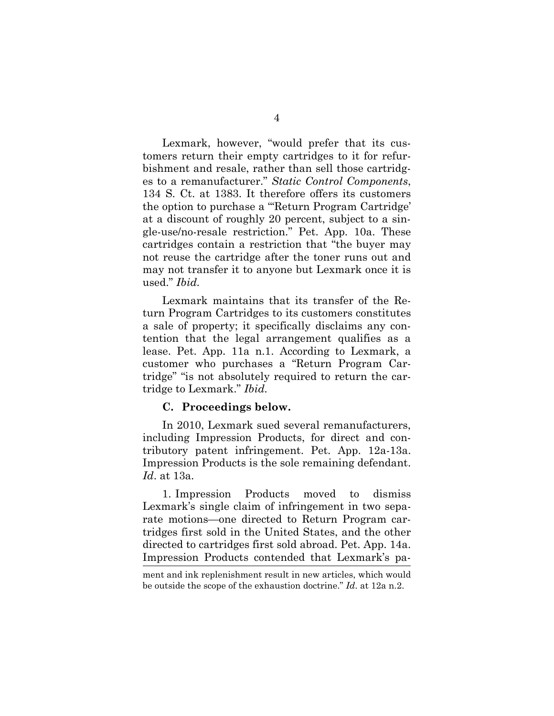Lexmark, however, "would prefer that its customers return their empty cartridges to it for refurbishment and resale, rather than sell those cartridges to a remanufacturer." *Static Control Components*, 134 S. Ct. at 1383. It therefore offers its customers the option to purchase a "'Return Program Cartridge' at a discount of roughly 20 percent, subject to a single-use/no-resale restriction." Pet. App. 10a. These cartridges contain a restriction that "the buyer may not reuse the cartridge after the toner runs out and may not transfer it to anyone but Lexmark once it is used." *Ibid.*

Lexmark maintains that its transfer of the Return Program Cartridges to its customers constitutes a sale of property; it specifically disclaims any contention that the legal arrangement qualifies as a lease. Pet. App. 11a n.1. According to Lexmark, a customer who purchases a "Return Program Cartridge" "is not absolutely required to return the cartridge to Lexmark." *Ibid.*

#### **C. Proceedings below.**

In 2010, Lexmark sued several remanufacturers, including Impression Products, for direct and contributory patent infringement. Pet. App. 12a-13a. Impression Products is the sole remaining defendant. *Id*. at 13a.

1. Impression Products moved to dismiss Lexmark's single claim of infringement in two separate motions—one directed to Return Program cartridges first sold in the United States, and the other directed to cartridges first sold abroad. Pet. App. 14a. Impression Products contended that Lexmark's pa-

ment and ink replenishment result in new articles, which would be outside the scope of the exhaustion doctrine." *Id*. at 12a n.2.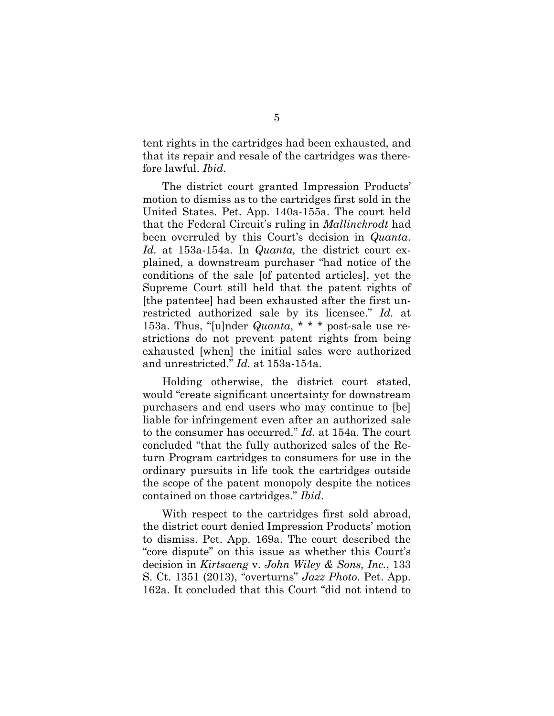tent rights in the cartridges had been exhausted, and that its repair and resale of the cartridges was therefore lawful. *Ibid.*

The district court granted Impression Products' motion to dismiss as to the cartridges first sold in the United States. Pet. App. 140a-155a. The court held that the Federal Circuit's ruling in *Mallinckrodt* had been overruled by this Court's decision in *Quanta*. *Id.* at 153a-154a. In *Quanta,* the district court explained, a downstream purchaser "had notice of the conditions of the sale [of patented articles], yet the Supreme Court still held that the patent rights of [the patentee] had been exhausted after the first unrestricted authorized sale by its licensee." *Id.* at 153a. Thus, "[u]nder *Quanta*, \* \* \* post-sale use restrictions do not prevent patent rights from being exhausted [when] the initial sales were authorized and unrestricted." *Id.* at 153a-154a.

Holding otherwise, the district court stated, would "create significant uncertainty for downstream purchasers and end users who may continue to [be] liable for infringement even after an authorized sale to the consumer has occurred." *Id*. at 154a. The court concluded "that the fully authorized sales of the Return Program cartridges to consumers for use in the ordinary pursuits in life took the cartridges outside the scope of the patent monopoly despite the notices contained on those cartridges." *Ibid*.

With respect to the cartridges first sold abroad, the district court denied Impression Products' motion to dismiss. Pet. App. 169a. The court described the "core dispute" on this issue as whether this Court's decision in *Kirtsaeng* v. *John Wiley & Sons, Inc.*, 133 S. Ct. 1351 (2013), "overturns" *Jazz Photo*. Pet. App. 162a. It concluded that this Court "did not intend to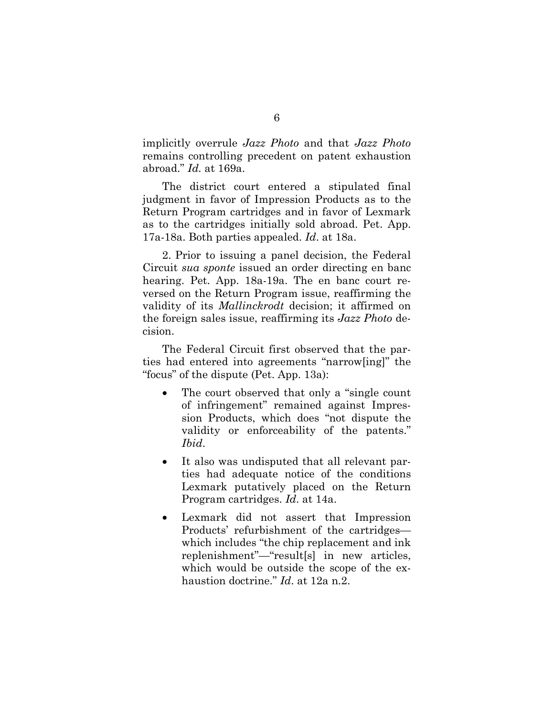implicitly overrule *Jazz Photo* and that *Jazz Photo* remains controlling precedent on patent exhaustion abroad." *Id.* at 169a.

The district court entered a stipulated final judgment in favor of Impression Products as to the Return Program cartridges and in favor of Lexmark as to the cartridges initially sold abroad. Pet. App. 17a-18a. Both parties appealed. *Id*. at 18a.

2. Prior to issuing a panel decision, the Federal Circuit *sua sponte* issued an order directing en banc hearing. Pet. App. 18a-19a. The en banc court reversed on the Return Program issue, reaffirming the validity of its *Mallinckrodt* decision; it affirmed on the foreign sales issue, reaffirming its *Jazz Photo* decision.

The Federal Circuit first observed that the parties had entered into agreements "narrow[ing]" the "focus" of the dispute (Pet. App. 13a):

- The court observed that only a "single count" of infringement" remained against Impression Products, which does "not dispute the validity or enforceability of the patents." *Ibid*.
- It also was undisputed that all relevant parties had adequate notice of the conditions Lexmark putatively placed on the Return Program cartridges. *Id*. at 14a.
- Lexmark did not assert that Impression Products' refurbishment of the cartridges which includes "the chip replacement and ink replenishment"—"result[s] in new articles, which would be outside the scope of the exhaustion doctrine." *Id*. at 12a n.2.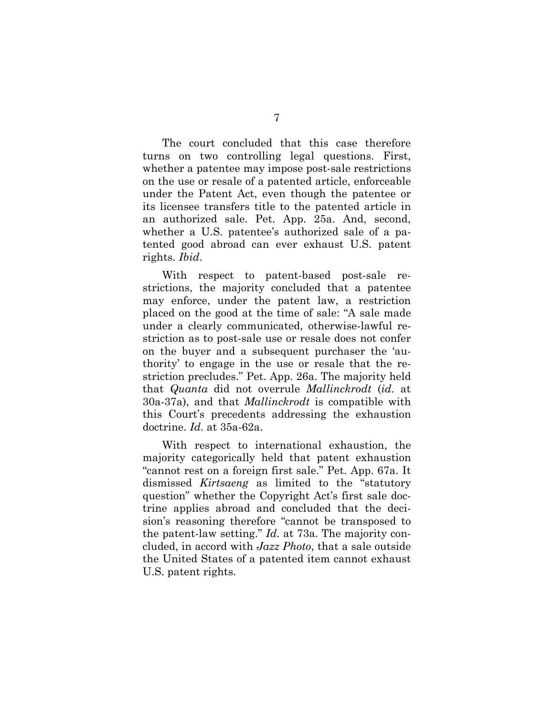The court concluded that this case therefore turns on two controlling legal questions. First, whether a patentee may impose post-sale restrictions on the use or resale of a patented article, enforceable under the Patent Act, even though the patentee or its licensee transfers title to the patented article in an authorized sale. Pet. App. 25a. And, second, whether a U.S. patentee's authorized sale of a patented good abroad can ever exhaust U.S. patent rights. *Ibid*.

With respect to patent-based post-sale restrictions, the majority concluded that a patentee may enforce, under the patent law, a restriction placed on the good at the time of sale: "A sale made under a clearly communicated, otherwise-lawful restriction as to post-sale use or resale does not confer on the buyer and a subsequent purchaser the 'authority' to engage in the use or resale that the restriction precludes." Pet. App. 26a. The majority held that *Quanta* did not overrule *Mallinckrodt* (*id*. at 30a-37a), and that *Mallinckrodt* is compatible with this Court's precedents addressing the exhaustion doctrine. *Id*. at 35a-62a.

With respect to international exhaustion, the majority categorically held that patent exhaustion "cannot rest on a foreign first sale." Pet. App. 67a. It dismissed *Kirtsaeng* as limited to the "statutory question" whether the Copyright Act's first sale doctrine applies abroad and concluded that the decision's reasoning therefore "cannot be transposed to the patent-law setting." *Id.* at 73a. The majority concluded, in accord with *Jazz Photo*, that a sale outside the United States of a patented item cannot exhaust U.S. patent rights.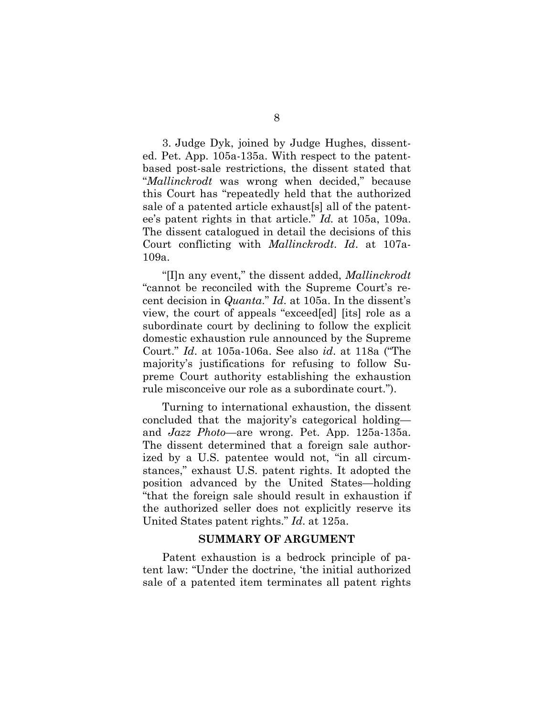3. Judge Dyk, joined by Judge Hughes, dissented. Pet. App. 105a-135a. With respect to the patentbased post-sale restrictions, the dissent stated that "*Mallinckrodt* was wrong when decided," because this Court has "repeatedly held that the authorized sale of a patented article exhaust[s] all of the patentee's patent rights in that article." *Id.* at 105a, 109a. The dissent catalogued in detail the decisions of this Court conflicting with *Mallinckrodt*. *Id*. at 107a-109a.

"[I]n any event," the dissent added, *Mallinckrodt* "cannot be reconciled with the Supreme Court's recent decision in *Quanta*." *Id*. at 105a. In the dissent's view, the court of appeals "exceed[ed] [its] role as a subordinate court by declining to follow the explicit domestic exhaustion rule announced by the Supreme Court." *Id*. at 105a-106a. See also *id*. at 118a ("The majority's justifications for refusing to follow Supreme Court authority establishing the exhaustion rule misconceive our role as a subordinate court.").

Turning to international exhaustion, the dissent concluded that the majority's categorical holding and *Jazz Photo*—are wrong. Pet. App. 125a-135a. The dissent determined that a foreign sale authorized by a U.S. patentee would not, "in all circumstances," exhaust U.S. patent rights. It adopted the position advanced by the United States—holding "that the foreign sale should result in exhaustion if the authorized seller does not explicitly reserve its United States patent rights." *Id*. at 125a.

#### **SUMMARY OF ARGUMENT**

Patent exhaustion is a bedrock principle of patent law: "Under the doctrine, 'the initial authorized sale of a patented item terminates all patent rights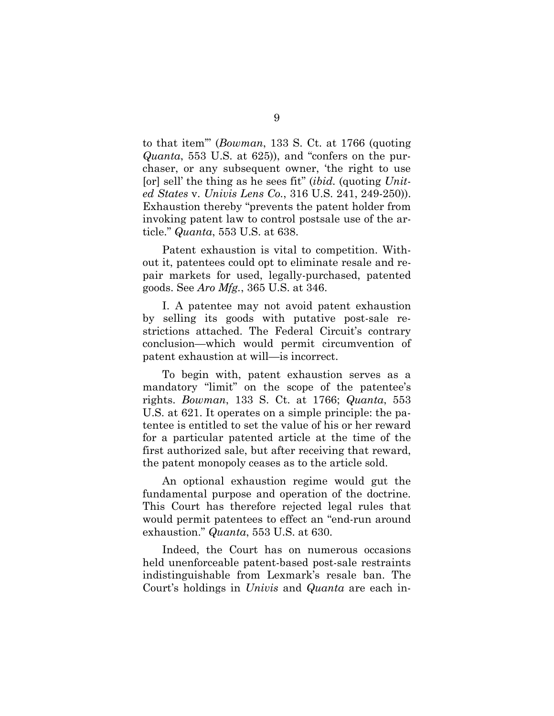to that item'" (*Bowman*, 133 S. Ct. at 1766 (quoting *Quanta*, 553 U.S. at 625)), and "confers on the purchaser, or any subsequent owner, 'the right to use [or] sell' the thing as he sees fit" (*ibid.* (quoting *United States* v. *Univis Lens Co.*, 316 U.S. 241, 249-250)). Exhaustion thereby "prevents the patent holder from invoking patent law to control postsale use of the article." *Quanta*, 553 U.S. at 638.

Patent exhaustion is vital to competition. Without it, patentees could opt to eliminate resale and repair markets for used, legally-purchased, patented goods. See *Aro Mfg.*, 365 U.S. at 346.

I. A patentee may not avoid patent exhaustion by selling its goods with putative post-sale restrictions attached. The Federal Circuit's contrary conclusion—which would permit circumvention of patent exhaustion at will—is incorrect.

To begin with, patent exhaustion serves as a mandatory "limit" on the scope of the patentee's rights. *Bowman*, 133 S. Ct. at 1766; *Quanta*, 553 U.S. at 621. It operates on a simple principle: the patentee is entitled to set the value of his or her reward for a particular patented article at the time of the first authorized sale, but after receiving that reward, the patent monopoly ceases as to the article sold.

An optional exhaustion regime would gut the fundamental purpose and operation of the doctrine. This Court has therefore rejected legal rules that would permit patentees to effect an "end-run around exhaustion." *Quanta*, 553 U.S. at 630.

Indeed, the Court has on numerous occasions held unenforceable patent-based post-sale restraints indistinguishable from Lexmark's resale ban. The Court's holdings in *Univis* and *Quanta* are each in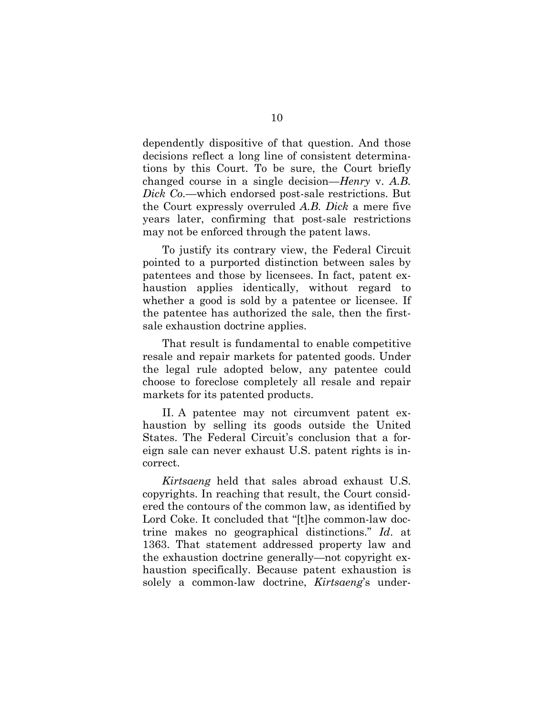dependently dispositive of that question. And those decisions reflect a long line of consistent determinations by this Court. To be sure, the Court briefly changed course in a single decision—*Henry* v. *A.B. Dick Co.*—which endorsed post-sale restrictions. But the Court expressly overruled *A.B. Dick* a mere five years later, confirming that post-sale restrictions may not be enforced through the patent laws.

To justify its contrary view, the Federal Circuit pointed to a purported distinction between sales by patentees and those by licensees. In fact, patent exhaustion applies identically, without regard to whether a good is sold by a patentee or licensee. If the patentee has authorized the sale, then the firstsale exhaustion doctrine applies.

That result is fundamental to enable competitive resale and repair markets for patented goods. Under the legal rule adopted below, any patentee could choose to foreclose completely all resale and repair markets for its patented products.

II. A patentee may not circumvent patent exhaustion by selling its goods outside the United States. The Federal Circuit's conclusion that a foreign sale can never exhaust U.S. patent rights is incorrect.

*Kirtsaeng* held that sales abroad exhaust U.S. copyrights. In reaching that result, the Court considered the contours of the common law, as identified by Lord Coke. It concluded that "[t]he common-law doctrine makes no geographical distinctions." *Id*. at 1363. That statement addressed property law and the exhaustion doctrine generally—not copyright exhaustion specifically. Because patent exhaustion is solely a common-law doctrine, *Kirtsaeng*'s under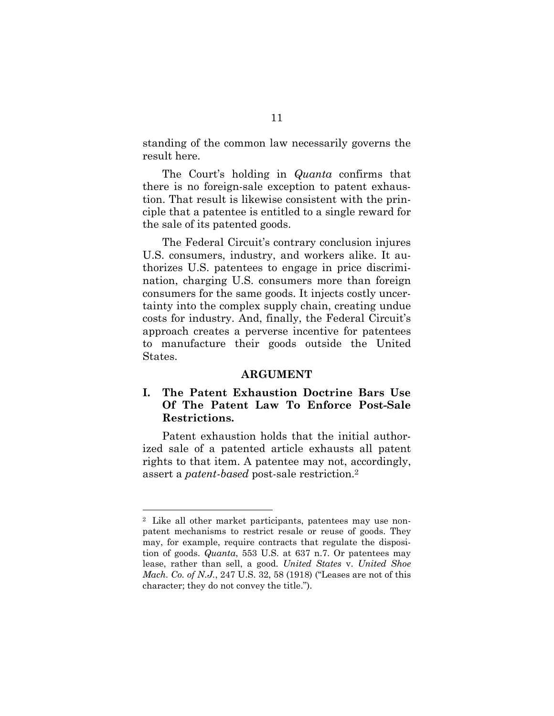standing of the common law necessarily governs the result here.

The Court's holding in *Quanta* confirms that there is no foreign-sale exception to patent exhaustion. That result is likewise consistent with the principle that a patentee is entitled to a single reward for the sale of its patented goods.

The Federal Circuit's contrary conclusion injures U.S. consumers, industry, and workers alike. It authorizes U.S. patentees to engage in price discrimination, charging U.S. consumers more than foreign consumers for the same goods. It injects costly uncertainty into the complex supply chain, creating undue costs for industry. And, finally, the Federal Circuit's approach creates a perverse incentive for patentees to manufacture their goods outside the United States.

#### **ARGUMENT**

### **I. The Patent Exhaustion Doctrine Bars Use Of The Patent Law To Enforce Post-Sale Restrictions.**

Patent exhaustion holds that the initial authorized sale of a patented article exhausts all patent rights to that item. A patentee may not, accordingly, assert a *patent-based* post-sale restriction.<sup>2</sup>

<sup>2</sup> Like all other market participants, patentees may use nonpatent mechanisms to restrict resale or reuse of goods. They may, for example, require contracts that regulate the disposition of goods. *Quanta*, 553 U.S. at 637 n.7. Or patentees may lease, rather than sell, a good. *United States* v. *United Shoe Mach. Co. of N.J.*, 247 U.S. 32, 58 (1918) ("Leases are not of this character; they do not convey the title.").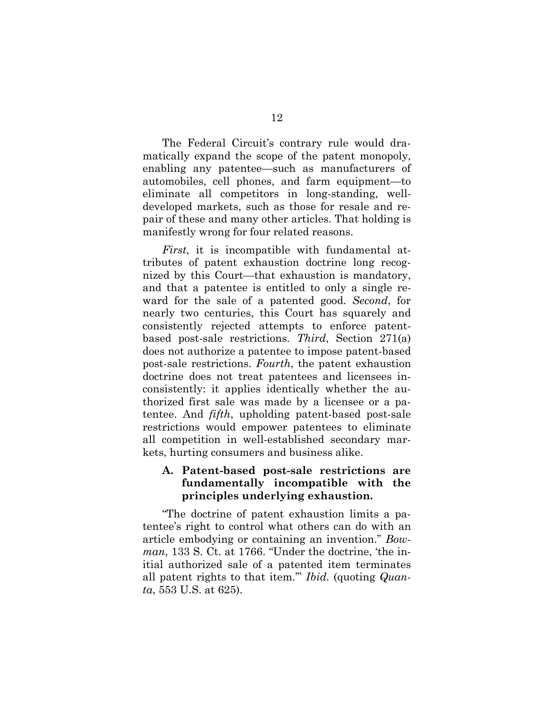The Federal Circuit's contrary rule would dramatically expand the scope of the patent monopoly, enabling any patentee—such as manufacturers of automobiles, cell phones, and farm equipment—to eliminate all competitors in long-standing, welldeveloped markets, such as those for resale and repair of these and many other articles. That holding is manifestly wrong for four related reasons.

*First*, it is incompatible with fundamental attributes of patent exhaustion doctrine long recognized by this Court—that exhaustion is mandatory, and that a patentee is entitled to only a single reward for the sale of a patented good. *Second*, for nearly two centuries, this Court has squarely and consistently rejected attempts to enforce patentbased post-sale restrictions. *Third*, Section 271(a) does not authorize a patentee to impose patent-based post-sale restrictions. *Fourth*, the patent exhaustion doctrine does not treat patentees and licensees inconsistently: it applies identically whether the authorized first sale was made by a licensee or a patentee. And *fifth*, upholding patent-based post-sale restrictions would empower patentees to eliminate all competition in well-established secondary markets, hurting consumers and business alike.

### **A. Patent-based post-sale restrictions are fundamentally incompatible with the principles underlying exhaustion.**

"The doctrine of patent exhaustion limits a patentee's right to control what others can do with an article embodying or containing an invention." *Bowman*, 133 S. Ct. at 1766. "Under the doctrine, 'the initial authorized sale of a patented item terminates all patent rights to that item.'" *Ibid.* (quoting *Quanta*, 553 U.S. at 625).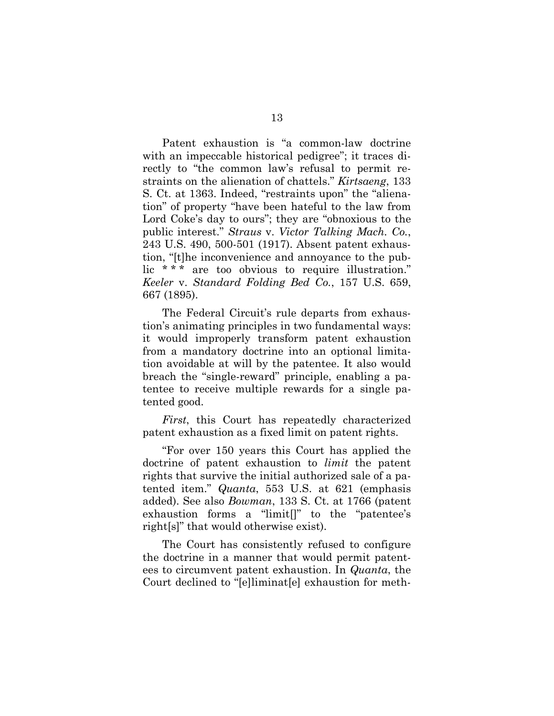Patent exhaustion is "a common-law doctrine with an impeccable historical pedigree"; it traces directly to "the common law's refusal to permit restraints on the alienation of chattels." *Kirtsaeng*, 133 S. Ct. at 1363. Indeed, "restraints upon" the "alienation" of property "have been hateful to the law from Lord Coke's day to ours"; they are "obnoxious to the public interest." *Straus* v. *Victor Talking Mach. Co.*, 243 U.S. 490, 500-501 (1917). Absent patent exhaustion, "[t]he inconvenience and annoyance to the public \* \* \* are too obvious to require illustration." *Keeler* v. *Standard Folding Bed Co.*, 157 U.S. 659, 667 (1895).

The Federal Circuit's rule departs from exhaustion's animating principles in two fundamental ways: it would improperly transform patent exhaustion from a mandatory doctrine into an optional limitation avoidable at will by the patentee. It also would breach the "single-reward" principle, enabling a patentee to receive multiple rewards for a single patented good.

*First*, this Court has repeatedly characterized patent exhaustion as a fixed limit on patent rights.

"For over 150 years this Court has applied the doctrine of patent exhaustion to *limit* the patent rights that survive the initial authorized sale of a patented item." *Quanta*, 553 U.S. at 621 (emphasis added). See also *Bowman*, 133 S. Ct. at 1766 (patent exhaustion forms a "limit[]" to the "patentee's right[s]" that would otherwise exist).

The Court has consistently refused to configure the doctrine in a manner that would permit patentees to circumvent patent exhaustion. In *Quanta*, the Court declined to "[e]liminat[e] exhaustion for meth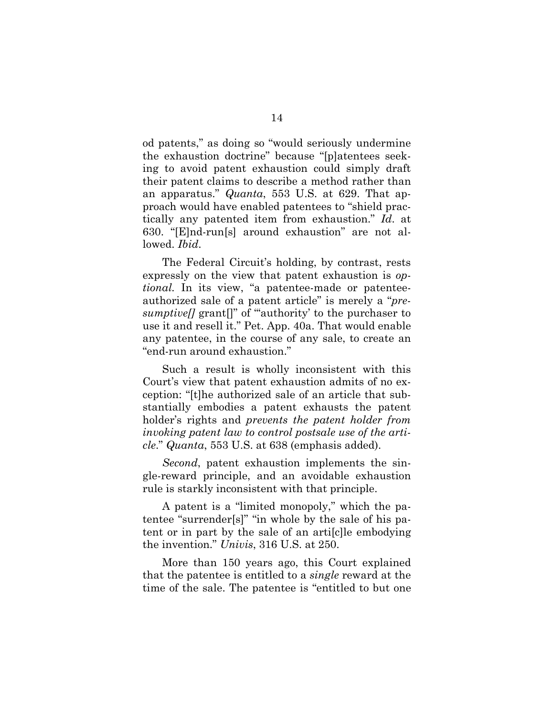od patents," as doing so "would seriously undermine the exhaustion doctrine" because "[p]atentees seeking to avoid patent exhaustion could simply draft their patent claims to describe a method rather than an apparatus." *Quanta*, 553 U.S. at 629. That approach would have enabled patentees to "shield practically any patented item from exhaustion." *Id*. at 630. "[E]nd-run[s] around exhaustion" are not allowed. *Ibid*.

The Federal Circuit's holding, by contrast, rests expressly on the view that patent exhaustion is *optional.* In its view, "a patentee-made or patenteeauthorized sale of a patent article" is merely a "*presumptive*[] grant<sup>[]"</sup> of "authority' to the purchaser to use it and resell it." Pet. App. 40a. That would enable any patentee, in the course of any sale, to create an "end-run around exhaustion."

Such a result is wholly inconsistent with this Court's view that patent exhaustion admits of no exception: "[t]he authorized sale of an article that substantially embodies a patent exhausts the patent holder's rights and *prevents the patent holder from invoking patent law to control postsale use of the article*." *Quanta*, 553 U.S. at 638 (emphasis added).

*Second*, patent exhaustion implements the single-reward principle, and an avoidable exhaustion rule is starkly inconsistent with that principle.

A patent is a "limited monopoly," which the patentee "surrender[s]" "in whole by the sale of his patent or in part by the sale of an arti[c]le embodying the invention." *Univis*, 316 U.S. at 250.

More than 150 years ago, this Court explained that the patentee is entitled to a *single* reward at the time of the sale. The patentee is "entitled to but one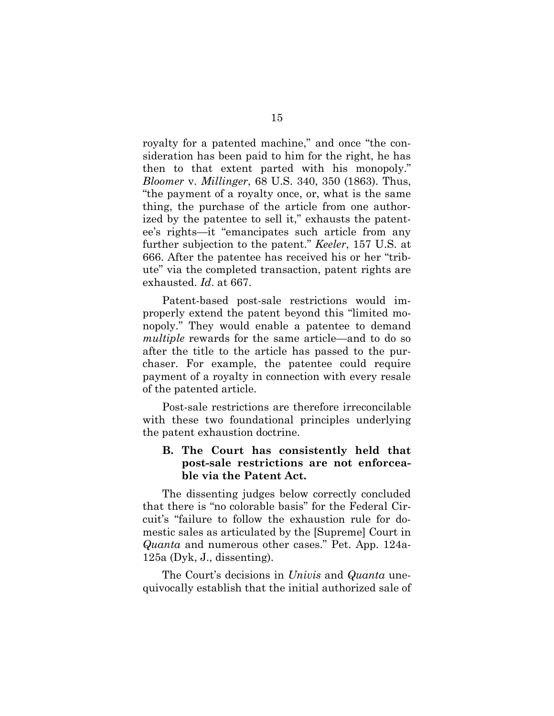royalty for a patented machine," and once "the consideration has been paid to him for the right, he has then to that extent parted with his monopoly." *Bloomer* v. *Millinger*, 68 U.S. 340, 350 (1863). Thus, "the payment of a royalty once, or, what is the same thing, the purchase of the article from one authorized by the patentee to sell it," exhausts the patentee's rights—it "emancipates such article from any further subjection to the patent." *Keeler*, 157 U.S. at 666. After the patentee has received his or her "tribute" via the completed transaction, patent rights are exhausted. *Id*. at 667.

Patent-based post-sale restrictions would improperly extend the patent beyond this "limited monopoly." They would enable a patentee to demand *multiple* rewards for the same article—and to do so after the title to the article has passed to the purchaser. For example, the patentee could require payment of a royalty in connection with every resale of the patented article.

Post-sale restrictions are therefore irreconcilable with these two foundational principles underlying the patent exhaustion doctrine.

#### **B. The Court has consistently held that post-sale restrictions are not enforceable via the Patent Act.**

The dissenting judges below correctly concluded that there is "no colorable basis" for the Federal Circuit's "failure to follow the exhaustion rule for domestic sales as articulated by the [Supreme] Court in *Quanta* and numerous other cases." Pet. App. 124a-125a (Dyk, J., dissenting).

The Court's decisions in *Univis* and *Quanta* unequivocally establish that the initial authorized sale of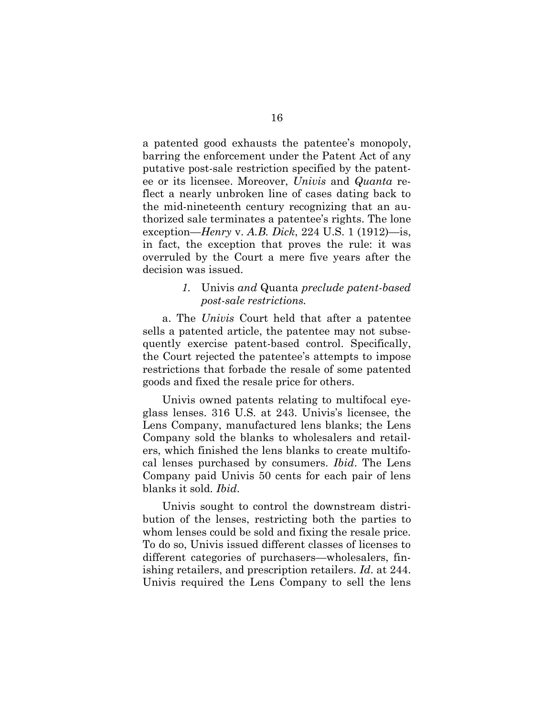a patented good exhausts the patentee's monopoly, barring the enforcement under the Patent Act of any putative post-sale restriction specified by the patentee or its licensee. Moreover, *Univis* and *Quanta* reflect a nearly unbroken line of cases dating back to the mid-nineteenth century recognizing that an authorized sale terminates a patentee's rights. The lone exception—*Henry* v. *A.B. Dick*, 224 U.S. 1 (1912)—is, in fact, the exception that proves the rule: it was overruled by the Court a mere five years after the decision was issued.

#### *1.* Univis *and* Quanta *preclude patent-based post-sale restrictions.*

a. The *Univis* Court held that after a patentee sells a patented article, the patentee may not subsequently exercise patent-based control. Specifically, the Court rejected the patentee's attempts to impose restrictions that forbade the resale of some patented goods and fixed the resale price for others.

Univis owned patents relating to multifocal eyeglass lenses. 316 U.S. at 243. Univis's licensee, the Lens Company, manufactured lens blanks; the Lens Company sold the blanks to wholesalers and retailers, which finished the lens blanks to create multifocal lenses purchased by consumers. *Ibid*. The Lens Company paid Univis 50 cents for each pair of lens blanks it sold. *Ibid*.

Univis sought to control the downstream distribution of the lenses, restricting both the parties to whom lenses could be sold and fixing the resale price. To do so, Univis issued different classes of licenses to different categories of purchasers—wholesalers, finishing retailers, and prescription retailers. *Id*. at 244. Univis required the Lens Company to sell the lens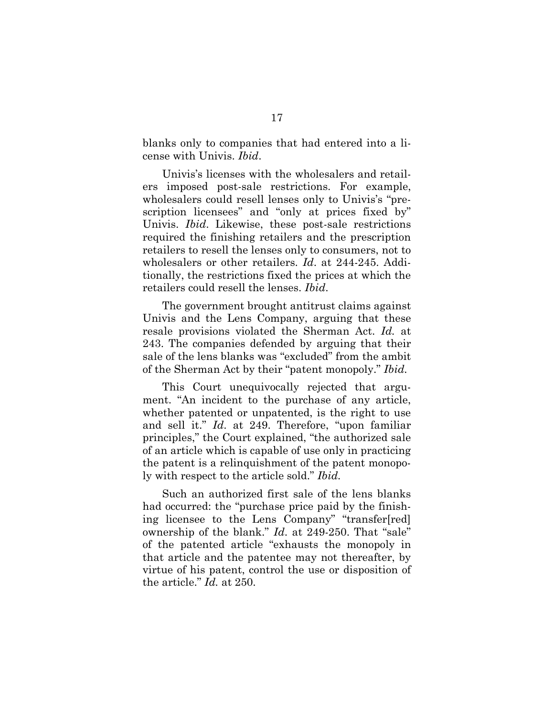blanks only to companies that had entered into a license with Univis. *Ibid*.

Univis's licenses with the wholesalers and retailers imposed post-sale restrictions. For example, wholesalers could resell lenses only to Univis's "prescription licensees" and "only at prices fixed by" Univis. *Ibid*. Likewise, these post-sale restrictions required the finishing retailers and the prescription retailers to resell the lenses only to consumers, not to wholesalers or other retailers. *Id*. at 244-245. Additionally, the restrictions fixed the prices at which the retailers could resell the lenses. *Ibid*.

The government brought antitrust claims against Univis and the Lens Company, arguing that these resale provisions violated the Sherman Act. *Id.* at 243. The companies defended by arguing that their sale of the lens blanks was "excluded" from the ambit of the Sherman Act by their "patent monopoly." *Ibid.*

This Court unequivocally rejected that argument. "An incident to the purchase of any article, whether patented or unpatented, is the right to use and sell it." *Id*. at 249. Therefore, "upon familiar principles," the Court explained, "the authorized sale of an article which is capable of use only in practicing the patent is a relinquishment of the patent monopoly with respect to the article sold." *Ibid.*

Such an authorized first sale of the lens blanks had occurred: the "purchase price paid by the finishing licensee to the Lens Company" "transfer[red] ownership of the blank." *Id*. at 249-250. That "sale" of the patented article "exhausts the monopoly in that article and the patentee may not thereafter, by virtue of his patent, control the use or disposition of the article." *Id.* at 250.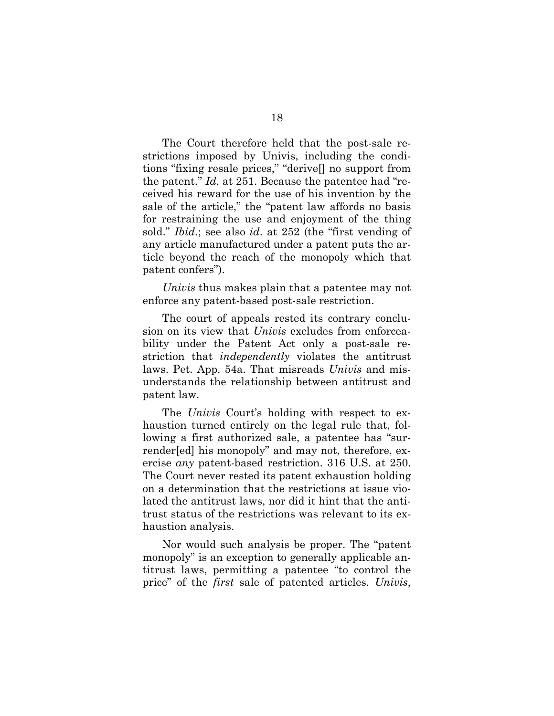The Court therefore held that the post-sale restrictions imposed by Univis, including the conditions "fixing resale prices," "derive[] no support from the patent." *Id*. at 251. Because the patentee had "received his reward for the use of his invention by the sale of the article," the "patent law affords no basis for restraining the use and enjoyment of the thing sold." *Ibid*.; see also *id*. at 252 (the "first vending of any article manufactured under a patent puts the article beyond the reach of the monopoly which that patent confers").

*Univis* thus makes plain that a patentee may not enforce any patent-based post-sale restriction.

The court of appeals rested its contrary conclusion on its view that *Univis* excludes from enforceability under the Patent Act only a post-sale restriction that *independently* violates the antitrust laws. Pet. App. 54a. That misreads *Univis* and misunderstands the relationship between antitrust and patent law.

The *Univis* Court's holding with respect to exhaustion turned entirely on the legal rule that, following a first authorized sale, a patentee has "surrender[ed] his monopoly" and may not, therefore, exercise *any* patent-based restriction. 316 U.S. at 250. The Court never rested its patent exhaustion holding on a determination that the restrictions at issue violated the antitrust laws, nor did it hint that the antitrust status of the restrictions was relevant to its exhaustion analysis.

Nor would such analysis be proper. The "patent monopoly" is an exception to generally applicable antitrust laws, permitting a patentee "to control the price" of the *first* sale of patented articles. *Univis*,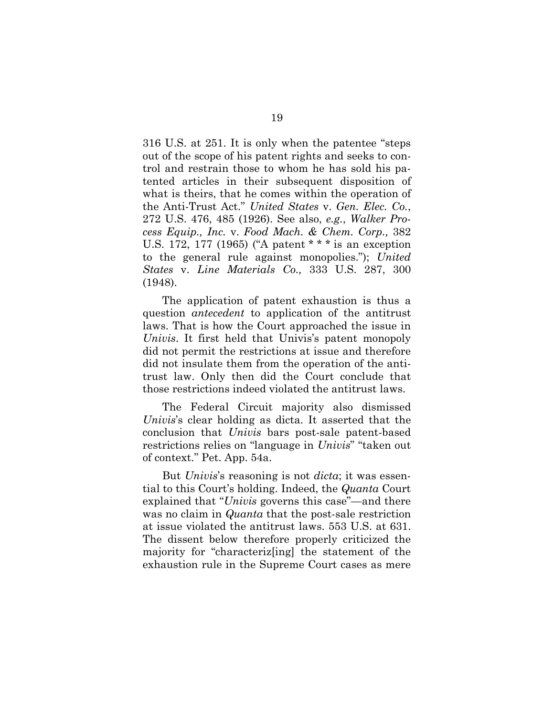316 U.S. at 251. It is only when the patentee "steps out of the scope of his patent rights and seeks to control and restrain those to whom he has sold his patented articles in their subsequent disposition of what is theirs, that he comes within the operation of the Anti-Trust Act." *United States* v. *Gen. Elec. Co.*, 272 U.S. 476, 485 (1926). See also, *e.g.*, *Walker Process Equip., Inc.* v. *Food Mach. & Chem. Corp.,* 382 U.S. 172, 177 (1965) ("A patent \* \* \* is an exception to the general rule against monopolies."); *United States* v. *Line Materials Co.,* 333 U.S. 287, 300 (1948).

The application of patent exhaustion is thus a question *antecedent* to application of the antitrust laws. That is how the Court approached the issue in *Univis*. It first held that Univis's patent monopoly did not permit the restrictions at issue and therefore did not insulate them from the operation of the antitrust law. Only then did the Court conclude that those restrictions indeed violated the antitrust laws.

The Federal Circuit majority also dismissed *Univis*'s clear holding as dicta. It asserted that the conclusion that *Univis* bars post-sale patent-based restrictions relies on "language in *Univis*" "taken out of context." Pet. App. 54a.

But *Univis*'s reasoning is not *dicta*; it was essential to this Court's holding. Indeed, the *Quanta* Court explained that "*Univis* governs this case"—and there was no claim in *Quanta* that the post-sale restriction at issue violated the antitrust laws. 553 U.S. at 631. The dissent below therefore properly criticized the majority for "characteriz[ing] the statement of the exhaustion rule in the Supreme Court cases as mere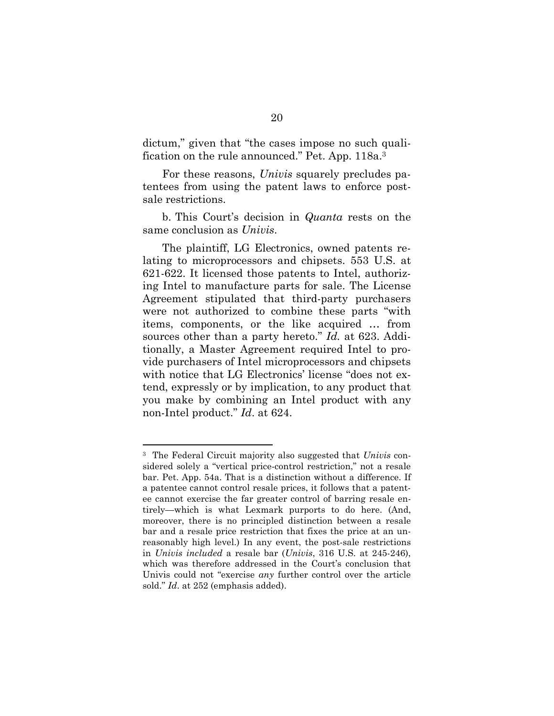dictum," given that "the cases impose no such qualification on the rule announced." Pet. App. 118a.<sup>3</sup>

For these reasons, *Univis* squarely precludes patentees from using the patent laws to enforce postsale restrictions.

b. This Court's decision in *Quanta* rests on the same conclusion as *Univis*.

The plaintiff, LG Electronics, owned patents relating to microprocessors and chipsets. 553 U.S. at 621-622. It licensed those patents to Intel, authorizing Intel to manufacture parts for sale. The License Agreement stipulated that third-party purchasers were not authorized to combine these parts "with items, components, or the like acquired … from sources other than a party hereto." *Id.* at 623. Additionally, a Master Agreement required Intel to provide purchasers of Intel microprocessors and chipsets with notice that LG Electronics' license "does not extend, expressly or by implication, to any product that you make by combining an Intel product with any non-Intel product." *Id*. at 624.

<sup>3</sup> The Federal Circuit majority also suggested that *Univis* considered solely a "vertical price-control restriction," not a resale bar. Pet. App. 54a. That is a distinction without a difference. If a patentee cannot control resale prices, it follows that a patentee cannot exercise the far greater control of barring resale entirely—which is what Lexmark purports to do here. (And, moreover, there is no principled distinction between a resale bar and a resale price restriction that fixes the price at an unreasonably high level.) In any event, the post-sale restrictions in *Univis included* a resale bar (*Univis*, 316 U.S. at 245-246), which was therefore addressed in the Court's conclusion that Univis could not "exercise *any* further control over the article sold." *Id*. at 252 (emphasis added).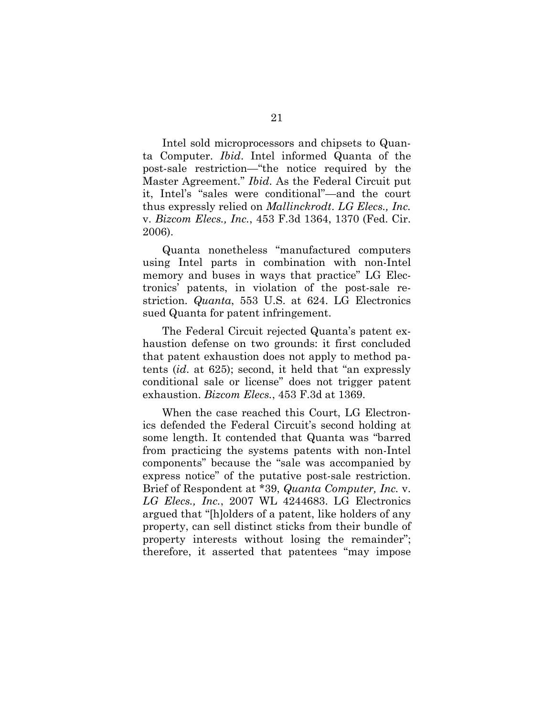Intel sold microprocessors and chipsets to Quanta Computer. *Ibid*. Intel informed Quanta of the post-sale restriction—"the notice required by the Master Agreement." *Ibid*. As the Federal Circuit put it, Intel's "sales were conditional"—and the court thus expressly relied on *Mallinckrodt*. *LG Elecs., Inc.* v. *Bizcom Elecs., Inc.*, 453 F.3d 1364, 1370 (Fed. Cir. 2006).

Quanta nonetheless "manufactured computers using Intel parts in combination with non-Intel memory and buses in ways that practice" LG Electronics' patents, in violation of the post-sale restriction. *Quanta*, 553 U.S. at 624. LG Electronics sued Quanta for patent infringement.

The Federal Circuit rejected Quanta's patent exhaustion defense on two grounds: it first concluded that patent exhaustion does not apply to method patents (*id*. at 625); second, it held that "an expressly conditional sale or license" does not trigger patent exhaustion. *Bizcom Elecs.*, 453 F.3d at 1369.

When the case reached this Court, LG Electronics defended the Federal Circuit's second holding at some length. It contended that Quanta was "barred from practicing the systems patents with non-Intel components" because the "sale was accompanied by express notice" of the putative post-sale restriction. Brief of Respondent at \*39, *Quanta Computer, Inc.* v. *LG Elecs., Inc.*, 2007 WL 4244683. LG Electronics argued that "[h]olders of a patent, like holders of any property, can sell distinct sticks from their bundle of property interests without losing the remainder"; therefore, it asserted that patentees "may impose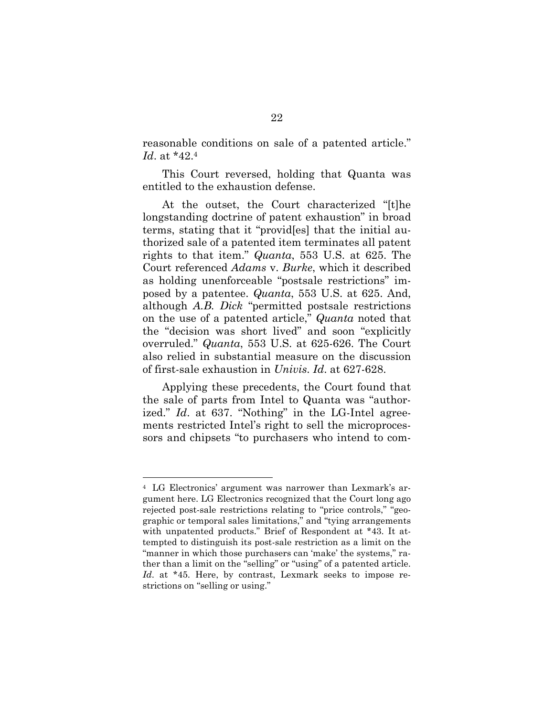reasonable conditions on sale of a patented article." *Id*. at \*42.<sup>4</sup>

This Court reversed, holding that Quanta was entitled to the exhaustion defense.

At the outset, the Court characterized "[t]he longstanding doctrine of patent exhaustion" in broad terms, stating that it "provid[es] that the initial authorized sale of a patented item terminates all patent rights to that item." *Quanta*, 553 U.S. at 625. The Court referenced *Adams* v. *Burke*, which it described as holding unenforceable "postsale restrictions" imposed by a patentee. *Quanta*, 553 U.S. at 625. And, although *A.B. Dick* "permitted postsale restrictions on the use of a patented article," *Quanta* noted that the "decision was short lived" and soon "explicitly overruled." *Quanta*, 553 U.S. at 625-626. The Court also relied in substantial measure on the discussion of first-sale exhaustion in *Univis*. *Id*. at 627-628.

Applying these precedents, the Court found that the sale of parts from Intel to Quanta was "authorized." *Id*. at 637. "Nothing" in the LG-Intel agreements restricted Intel's right to sell the microprocessors and chipsets "to purchasers who intend to com-

<sup>4</sup> LG Electronics' argument was narrower than Lexmark's argument here. LG Electronics recognized that the Court long ago rejected post-sale restrictions relating to "price controls," "geographic or temporal sales limitations," and "tying arrangements with unpatented products." Brief of Respondent at \*43. It attempted to distinguish its post-sale restriction as a limit on the "manner in which those purchasers can 'make' the systems," rather than a limit on the "selling" or "using" of a patented article. *Id*. at \*45. Here, by contrast, Lexmark seeks to impose restrictions on "selling or using."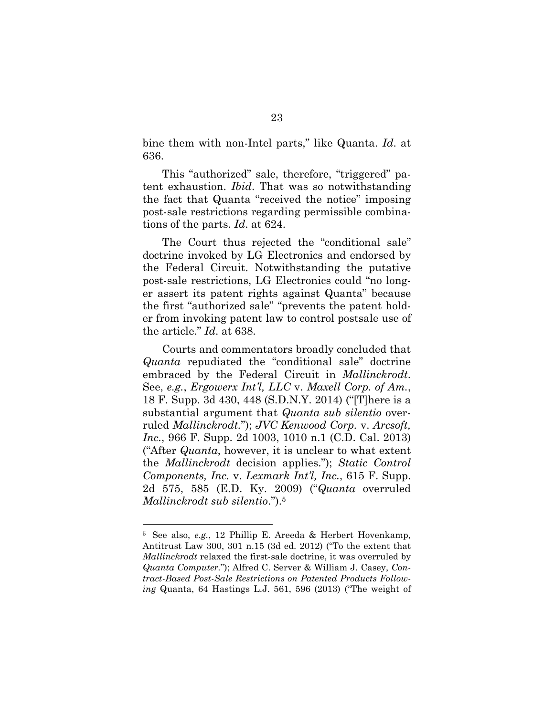bine them with non-Intel parts," like Quanta. *Id*. at 636.

This "authorized" sale, therefore, "triggered" patent exhaustion. *Ibid*. That was so notwithstanding the fact that Quanta "received the notice" imposing post-sale restrictions regarding permissible combinations of the parts. *Id*. at 624.

The Court thus rejected the "conditional sale" doctrine invoked by LG Electronics and endorsed by the Federal Circuit. Notwithstanding the putative post-sale restrictions, LG Electronics could "no longer assert its patent rights against Quanta" because the first "authorized sale" "prevents the patent holder from invoking patent law to control postsale use of the article." *Id*. at 638.

Courts and commentators broadly concluded that *Quanta* repudiated the "conditional sale" doctrine embraced by the Federal Circuit in *Mallinckrodt*. See, *e.g.*, *Ergowerx Int'l, LLC* v. *Maxell Corp. of Am.*, 18 F. Supp. 3d 430, 448 (S.D.N.Y. 2014) ("[T]here is a substantial argument that *Quanta sub silentio* overruled *Mallinckrodt.*"); *JVC Kenwood Corp.* v. *Arcsoft, Inc.*, 966 F. Supp. 2d 1003, 1010 n.1 (C.D. Cal. 2013) ("After *Quanta*, however, it is unclear to what extent the *Mallinckrodt* decision applies."); *Static Control Components, Inc.* v. *Lexmark Int'l, Inc.*, 615 F. Supp. 2d 575, 585 (E.D. Ky. 2009) ("*Quanta* overruled *Mallinckrodt sub silentio*.").<sup>5</sup>

<sup>5</sup> See also, *e.g.*, 12 Phillip E. Areeda & Herbert Hovenkamp, Antitrust Law 300, 301 n.15 (3d ed. 2012) ("To the extent that *Mallinckrodt* relaxed the first-sale doctrine, it was overruled by *Quanta Computer.*"); Alfred C. Server & William J. Casey, *Contract-Based Post-Sale Restrictions on Patented Products Following* Quanta, 64 Hastings L.J. 561, 596 (2013) ("The weight of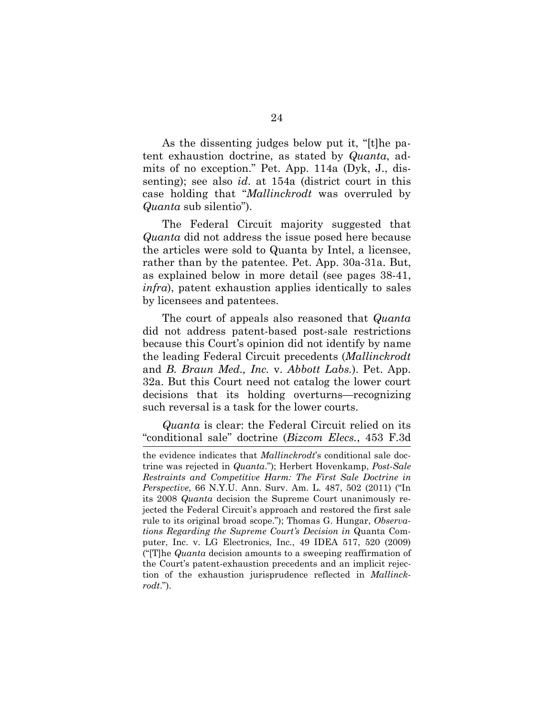As the dissenting judges below put it, "[t]he patent exhaustion doctrine, as stated by *Quanta*, admits of no exception." Pet. App. 114a (Dyk, J., dissenting); see also *id*. at 154a (district court in this case holding that "*Mallinckrodt* was overruled by *Quanta* sub silentio").

The Federal Circuit majority suggested that *Quanta* did not address the issue posed here because the articles were sold to Quanta by Intel, a licensee, rather than by the patentee. Pet. App. 30a-31a. But, as explained below in more detail (see pages 38-41, *infra*), patent exhaustion applies identically to sales by licensees and patentees.

The court of appeals also reasoned that *Quanta* did not address patent-based post-sale restrictions because this Court's opinion did not identify by name the leading Federal Circuit precedents (*Mallinckrodt* and *B. Braun Med., Inc.* v. *Abbott Labs.*). Pet. App. 32a. But this Court need not catalog the lower court decisions that its holding overturns—recognizing such reversal is a task for the lower courts.

*Quanta* is clear: the Federal Circuit relied on its "conditional sale" doctrine (*Bizcom Elecs.*, 453 F.3d

the evidence indicates that *Mallinckrodt*'s conditional sale doctrine was rejected in *Quanta*."); Herbert Hovenkamp, *Post-Sale Restraints and Competitive Harm: The First Sale Doctrine in Perspective*, 66 N.Y.U. Ann. Surv. Am. L. 487, 502 (2011) ("In its 2008 *Quanta* decision the Supreme Court unanimously rejected the Federal Circuit's approach and restored the first sale rule to its original broad scope."); Thomas G. Hungar, *Observations Regarding the Supreme Court's Decision in* Quanta Computer, Inc. v. LG Electronics, Inc*.*, 49 IDEA 517, 520 (2009) ("[T]he *Quanta* decision amounts to a sweeping reaffirmation of the Court's patent-exhaustion precedents and an implicit rejection of the exhaustion jurisprudence reflected in *Mallinckrodt*.").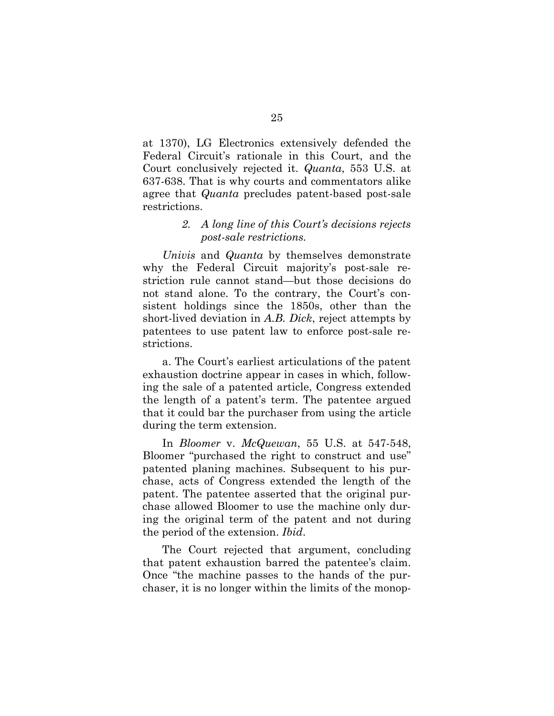at 1370), LG Electronics extensively defended the Federal Circuit's rationale in this Court, and the Court conclusively rejected it. *Quanta*, 553 U.S. at 637-638. That is why courts and commentators alike agree that *Quanta* precludes patent-based post-sale restrictions.

#### *2. A long line of this Court's decisions rejects post-sale restrictions.*

*Univis* and *Quanta* by themselves demonstrate why the Federal Circuit majority's post-sale restriction rule cannot stand—but those decisions do not stand alone. To the contrary, the Court's consistent holdings since the 1850s, other than the short-lived deviation in *A.B. Dick*, reject attempts by patentees to use patent law to enforce post-sale restrictions.

a. The Court's earliest articulations of the patent exhaustion doctrine appear in cases in which, following the sale of a patented article, Congress extended the length of a patent's term. The patentee argued that it could bar the purchaser from using the article during the term extension.

In *Bloomer* v. *McQuewan*, 55 U.S. at 547-548, Bloomer "purchased the right to construct and use" patented planing machines. Subsequent to his purchase, acts of Congress extended the length of the patent. The patentee asserted that the original purchase allowed Bloomer to use the machine only during the original term of the patent and not during the period of the extension. *Ibid*.

The Court rejected that argument, concluding that patent exhaustion barred the patentee's claim. Once "the machine passes to the hands of the purchaser, it is no longer within the limits of the monop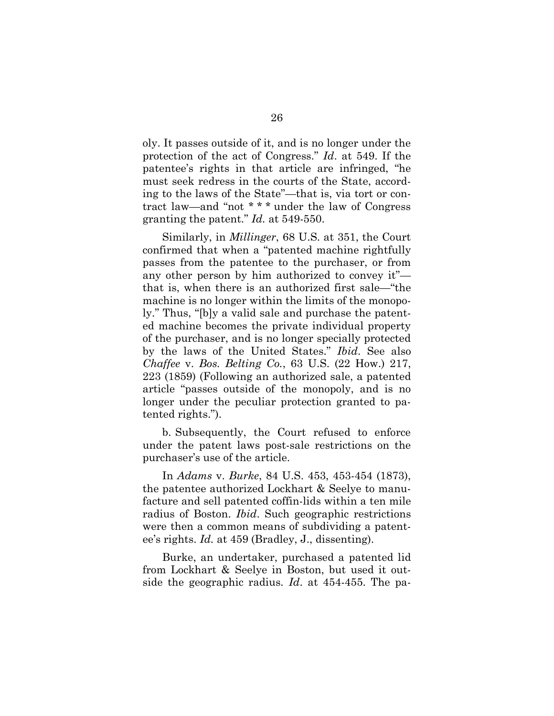oly. It passes outside of it, and is no longer under the protection of the act of Congress." *Id*. at 549. If the patentee's rights in that article are infringed, "he must seek redress in the courts of the State, according to the laws of the State"—that is, via tort or contract law—and "not \* \* \* under the law of Congress granting the patent." *Id.* at 549-550.

Similarly, in *Millinger*, 68 U.S. at 351, the Court confirmed that when a "patented machine rightfully passes from the patentee to the purchaser, or from any other person by him authorized to convey it" that is, when there is an authorized first sale—"the machine is no longer within the limits of the monopoly." Thus, "[b]y a valid sale and purchase the patented machine becomes the private individual property of the purchaser, and is no longer specially protected by the laws of the United States." *Ibid*. See also *Chaffee* v. *Bos. Belting Co.*, 63 U.S. (22 How.) 217, 223 (1859) (Following an authorized sale, a patented article "passes outside of the monopoly, and is no longer under the peculiar protection granted to patented rights.").

b. Subsequently, the Court refused to enforce under the patent laws post-sale restrictions on the purchaser's use of the article.

In *Adams* v. *Burke*, 84 U.S. 453, 453-454 (1873), the patentee authorized Lockhart & Seelye to manufacture and sell patented coffin-lids within a ten mile radius of Boston. *Ibid*. Such geographic restrictions were then a common means of subdividing a patentee's rights. *Id.* at 459 (Bradley, J., dissenting).

Burke, an undertaker, purchased a patented lid from Lockhart & Seelye in Boston, but used it outside the geographic radius. *Id*. at 454-455. The pa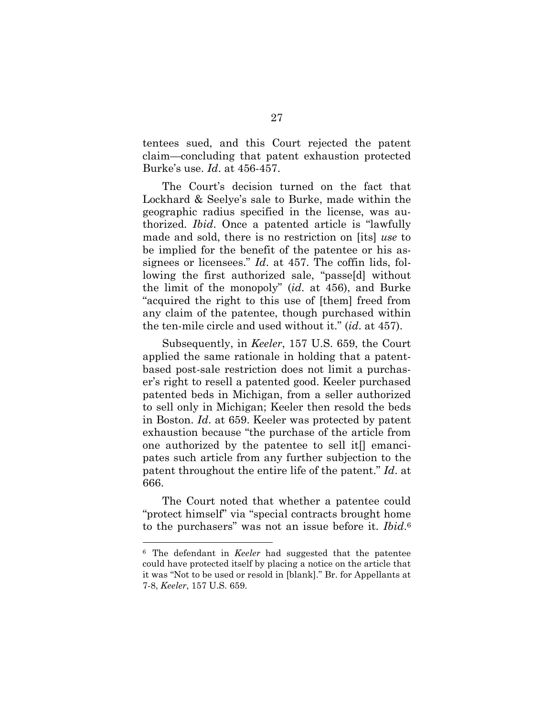tentees sued, and this Court rejected the patent claim—concluding that patent exhaustion protected Burke's use. *Id*. at 456-457.

The Court's decision turned on the fact that Lockhard & Seelye's sale to Burke, made within the geographic radius specified in the license, was authorized. *Ibid*. Once a patented article is "lawfully made and sold, there is no restriction on [its] *use* to be implied for the benefit of the patentee or his assignees or licensees." *Id*. at 457. The coffin lids, following the first authorized sale, "passe[d] without the limit of the monopoly" (*id*. at 456), and Burke "acquired the right to this use of [them] freed from any claim of the patentee, though purchased within the ten-mile circle and used without it." (*id*. at 457).

Subsequently, in *Keeler*, 157 U.S. 659, the Court applied the same rationale in holding that a patentbased post-sale restriction does not limit a purchaser's right to resell a patented good. Keeler purchased patented beds in Michigan, from a seller authorized to sell only in Michigan; Keeler then resold the beds in Boston. *Id*. at 659. Keeler was protected by patent exhaustion because "the purchase of the article from one authorized by the patentee to sell it[] emancipates such article from any further subjection to the patent throughout the entire life of the patent." *Id*. at 666.

The Court noted that whether a patentee could "protect himself" via "special contracts brought home to the purchasers" was not an issue before it. *Ibid*. 6

<sup>6</sup> The defendant in *Keeler* had suggested that the patentee could have protected itself by placing a notice on the article that it was "Not to be used or resold in [blank]." Br. for Appellants at 7-8, *Keeler*, 157 U.S. 659.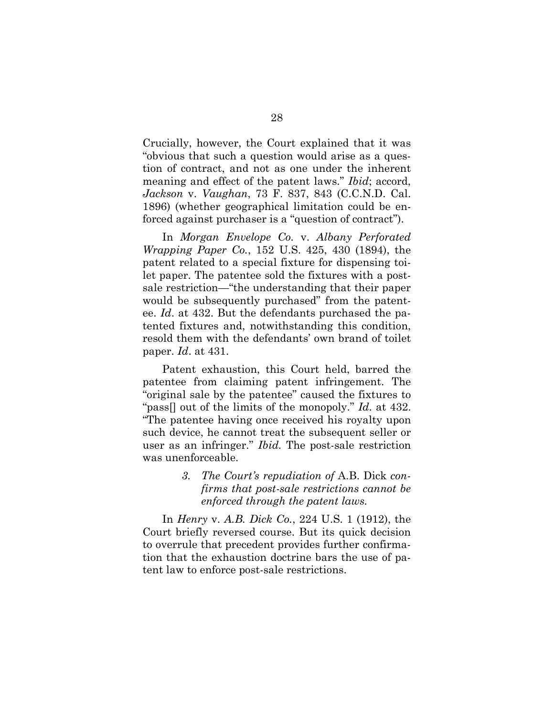Crucially, however, the Court explained that it was "obvious that such a question would arise as a question of contract, and not as one under the inherent meaning and effect of the patent laws." *Ibid*; accord, *Jackson* v. *Vaughan*, 73 F. 837, 843 (C.C.N.D. Cal. 1896) (whether geographical limitation could be enforced against purchaser is a "question of contract").

In *Morgan Envelope Co.* v. *Albany Perforated Wrapping Paper Co.*, 152 U.S. 425, 430 (1894), the patent related to a special fixture for dispensing toilet paper. The patentee sold the fixtures with a postsale restriction—"the understanding that their paper would be subsequently purchased" from the patentee. *Id*. at 432. But the defendants purchased the patented fixtures and, notwithstanding this condition, resold them with the defendants' own brand of toilet paper. *Id*. at 431.

Patent exhaustion, this Court held, barred the patentee from claiming patent infringement. The "original sale by the patentee" caused the fixtures to "pass[] out of the limits of the monopoly." *Id*. at 432. "The patentee having once received his royalty upon such device, he cannot treat the subsequent seller or user as an infringer." *Ibid.* The post-sale restriction was unenforceable.

> *3. The Court's repudiation of* A.B. Dick *confirms that post-sale restrictions cannot be enforced through the patent laws.*

In *Henry* v. *A.B. Dick Co.*, 224 U.S. 1 (1912), the Court briefly reversed course. But its quick decision to overrule that precedent provides further confirmation that the exhaustion doctrine bars the use of patent law to enforce post-sale restrictions.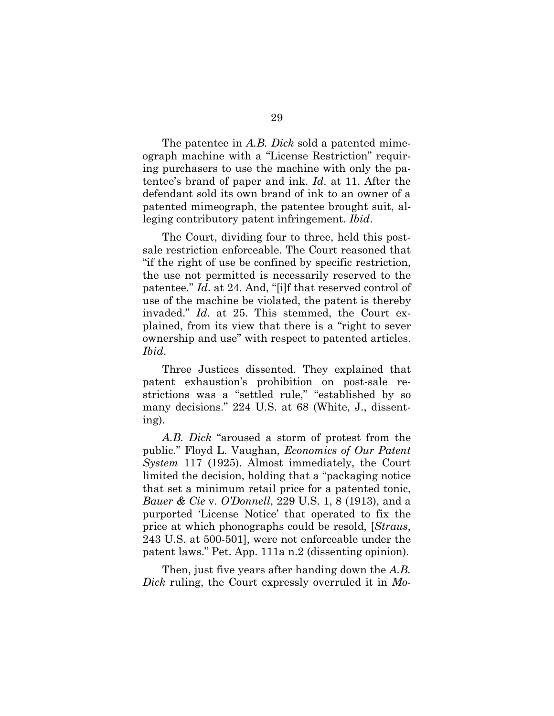The patentee in *A.B. Dick* sold a patented mimeograph machine with a "License Restriction" requiring purchasers to use the machine with only the patentee's brand of paper and ink. *Id*. at 11. After the defendant sold its own brand of ink to an owner of a patented mimeograph, the patentee brought suit, alleging contributory patent infringement. *Ibid*.

The Court, dividing four to three, held this postsale restriction enforceable. The Court reasoned that "if the right of use be confined by specific restriction, the use not permitted is necessarily reserved to the patentee." *Id*. at 24. And, "[i]f that reserved control of use of the machine be violated, the patent is thereby invaded." *Id*. at 25. This stemmed, the Court explained, from its view that there is a "right to sever ownership and use" with respect to patented articles. *Ibid*.

Three Justices dissented. They explained that patent exhaustion's prohibition on post-sale restrictions was a "settled rule," "established by so many decisions." 224 U.S. at 68 (White, J., dissenting).

*A.B. Dick* "aroused a storm of protest from the public." Floyd L. Vaughan, *Economics of Our Patent System* 117 (1925). Almost immediately, the Court limited the decision, holding that a "packaging notice that set a minimum retail price for a patented tonic, *Bauer & Cie* v. *O'Donnell*, 229 U.S. 1, 8 (1913), and a purported 'License Notice' that operated to fix the price at which phonographs could be resold, [*Straus*, 243 U.S. at 500-501], were not enforceable under the patent laws." Pet. App. 111a n.2 (dissenting opinion).

Then, just five years after handing down the *A.B. Dick* ruling, the Court expressly overruled it in *Mo-*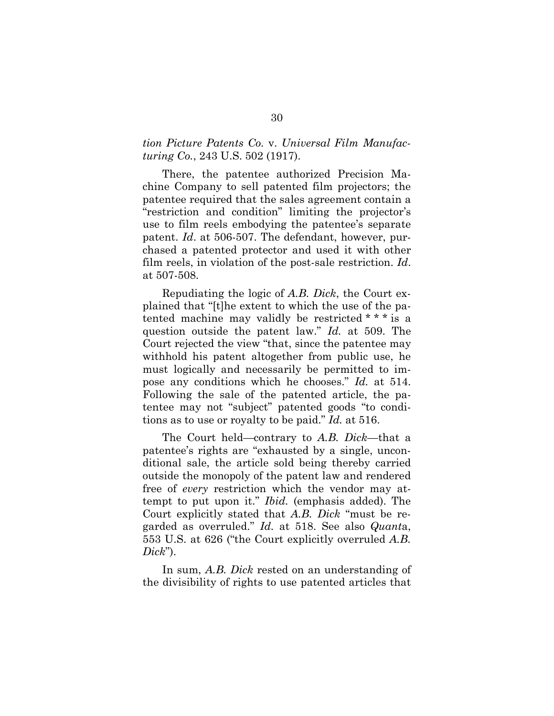#### *tion Picture Patents Co.* v. *Universal Film Manufacturing Co.*, 243 U.S. 502 (1917).

There, the patentee authorized Precision Machine Company to sell patented film projectors; the patentee required that the sales agreement contain a "restriction and condition" limiting the projector's use to film reels embodying the patentee's separate patent. *Id*. at 506-507. The defendant, however, purchased a patented protector and used it with other film reels, in violation of the post-sale restriction. *Id*. at 507-508.

Repudiating the logic of *A.B. Dick*, the Court explained that "[t]he extent to which the use of the patented machine may validly be restricted \* \* \* is a question outside the patent law." *Id.* at 509. The Court rejected the view "that, since the patentee may withhold his patent altogether from public use, he must logically and necessarily be permitted to impose any conditions which he chooses." *Id.* at 514. Following the sale of the patented article, the patentee may not "subject" patented goods "to conditions as to use or royalty to be paid." *Id.* at 516.

The Court held—contrary to *A.B. Dick*—that a patentee's rights are "exhausted by a single, unconditional sale, the article sold being thereby carried outside the monopoly of the patent law and rendered free of *every* restriction which the vendor may attempt to put upon it." *Ibid.* (emphasis added). The Court explicitly stated that *A.B. Dick* "must be regarded as overruled." *Id.* at 518. See also *Quant*a, 553 U.S. at 626 ("the Court explicitly overruled *A.B. Dick*").

In sum, *A.B. Dick* rested on an understanding of the divisibility of rights to use patented articles that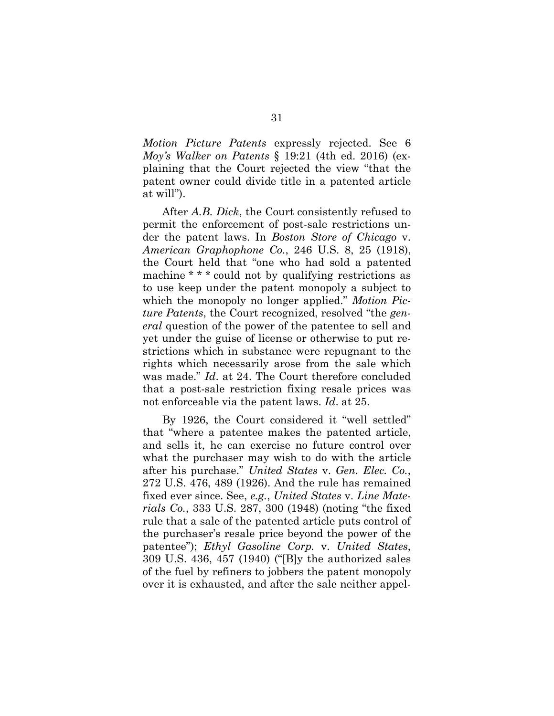*Motion Picture Patents* expressly rejected. See 6 *Moy's Walker on Patents* § 19:21 (4th ed. 2016) (explaining that the Court rejected the view "that the patent owner could divide title in a patented article at will").

After *A.B. Dick*, the Court consistently refused to permit the enforcement of post-sale restrictions under the patent laws. In *Boston Store of Chicago* v. *American Graphophone Co.*, 246 U.S. 8, 25 (1918), the Court held that "one who had sold a patented machine \* \* \* could not by qualifying restrictions as to use keep under the patent monopoly a subject to which the monopoly no longer applied." *Motion Picture Patents*, the Court recognized, resolved "the *general* question of the power of the patentee to sell and yet under the guise of license or otherwise to put restrictions which in substance were repugnant to the rights which necessarily arose from the sale which was made." *Id*. at 24. The Court therefore concluded that a post-sale restriction fixing resale prices was not enforceable via the patent laws. *Id*. at 25.

By 1926, the Court considered it "well settled" that "where a patentee makes the patented article, and sells it, he can exercise no future control over what the purchaser may wish to do with the article after his purchase." *United States* v. *Gen. Elec. Co.*, 272 U.S. 476, 489 (1926). And the rule has remained fixed ever since. See, *e.g.*, *United States* v. *Line Materials Co.*, 333 U.S. 287, 300 (1948) (noting "the fixed rule that a sale of the patented article puts control of the purchaser's resale price beyond the power of the patentee"); *Ethyl Gasoline Corp.* v. *United States*, 309 U.S. 436, 457 (1940) ("[B]y the authorized sales of the fuel by refiners to jobbers the patent monopoly over it is exhausted, and after the sale neither appel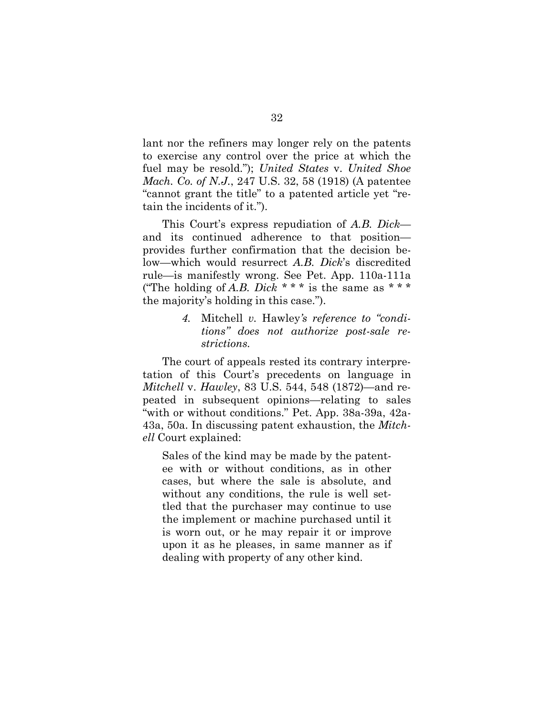lant nor the refiners may longer rely on the patents to exercise any control over the price at which the fuel may be resold."); *United States* v. *United Shoe Mach. Co. of N.J.*, 247 U.S. 32, 58 (1918) (A patentee "cannot grant the title" to a patented article yet "retain the incidents of it.").

This Court's express repudiation of *A.B. Dick* and its continued adherence to that position provides further confirmation that the decision below—which would resurrect *A.B. Dick*'s discredited rule—is manifestly wrong. See Pet. App. 110a-111a ("The holding of *A.B. Dick \* \* \** is the same as \* \* \* the majority's holding in this case.").

> *4.* Mitchell *v.* Hawley*'s reference to "conditions" does not authorize post-sale restrictions.*

The court of appeals rested its contrary interpretation of this Court's precedents on language in *Mitchell* v. *Hawley*, 83 U.S. 544, 548 (1872)—and repeated in subsequent opinions—relating to sales "with or without conditions." Pet. App. 38a-39a, 42a-43a, 50a. In discussing patent exhaustion, the *Mitchell* Court explained:

Sales of the kind may be made by the patentee with or without conditions, as in other cases, but where the sale is absolute, and without any conditions, the rule is well settled that the purchaser may continue to use the implement or machine purchased until it is worn out, or he may repair it or improve upon it as he pleases, in same manner as if dealing with property of any other kind.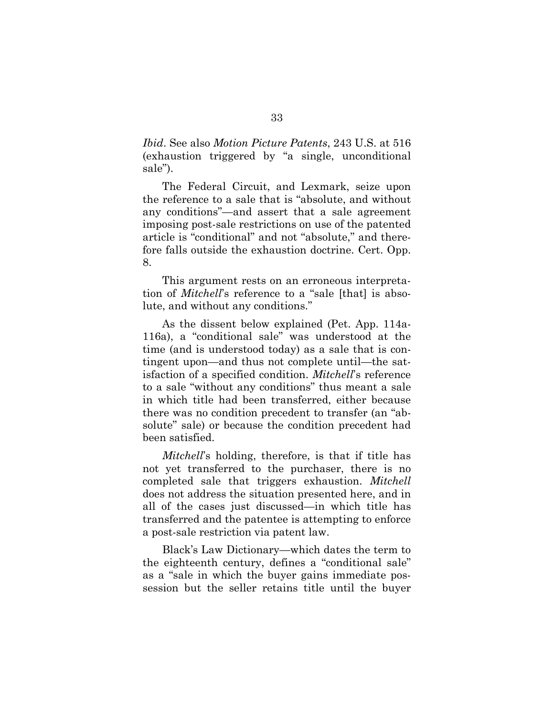*Ibid*. See also *Motion Picture Patents*, 243 U.S. at 516 (exhaustion triggered by "a single, unconditional sale").

The Federal Circuit, and Lexmark, seize upon the reference to a sale that is "absolute, and without any conditions"—and assert that a sale agreement imposing post-sale restrictions on use of the patented article is "conditional" and not "absolute," and therefore falls outside the exhaustion doctrine. Cert. Opp. 8.

This argument rests on an erroneous interpretation of *Mitchell*'s reference to a "sale [that] is absolute, and without any conditions."

As the dissent below explained (Pet. App. 114a-116a), a "conditional sale" was understood at the time (and is understood today) as a sale that is contingent upon—and thus not complete until—the satisfaction of a specified condition. *Mitchell*'s reference to a sale "without any conditions" thus meant a sale in which title had been transferred, either because there was no condition precedent to transfer (an "absolute" sale) or because the condition precedent had been satisfied.

*Mitchell*'s holding, therefore, is that if title has not yet transferred to the purchaser, there is no completed sale that triggers exhaustion. *Mitchell* does not address the situation presented here, and in all of the cases just discussed—in which title has transferred and the patentee is attempting to enforce a post-sale restriction via patent law.

Black's Law Dictionary—which dates the term to the eighteenth century, defines a "conditional sale" as a "sale in which the buyer gains immediate possession but the seller retains title until the buyer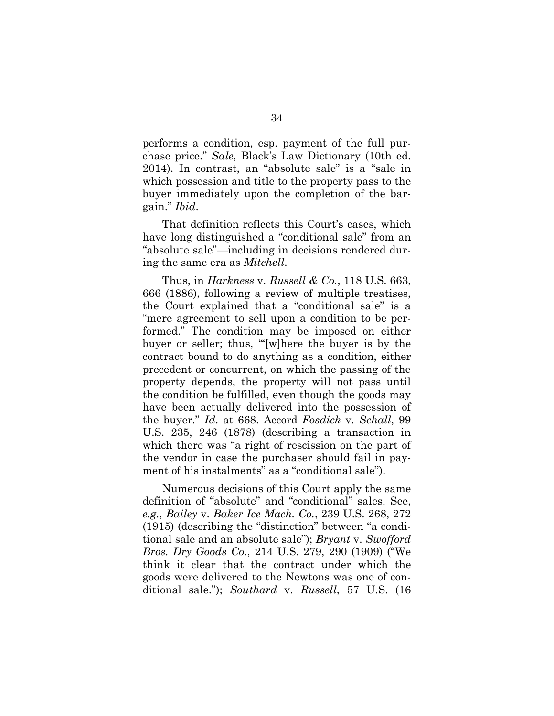performs a condition, esp. payment of the full purchase price." *Sale*, Black's Law Dictionary (10th ed. 2014). In contrast, an "absolute sale" is a "sale in which possession and title to the property pass to the buyer immediately upon the completion of the bargain." *Ibid*.

That definition reflects this Court's cases, which have long distinguished a "conditional sale" from an "absolute sale"—including in decisions rendered during the same era as *Mitchell*.

Thus, in *Harkness* v. *Russell & Co.*, 118 U.S. 663, 666 (1886), following a review of multiple treatises, the Court explained that a "conditional sale" is a "mere agreement to sell upon a condition to be performed." The condition may be imposed on either buyer or seller; thus, "'[w]here the buyer is by the contract bound to do anything as a condition, either precedent or concurrent, on which the passing of the property depends, the property will not pass until the condition be fulfilled, even though the goods may have been actually delivered into the possession of the buyer." *Id*. at 668. Accord *Fosdick* v. *Schall*, 99 U.S. 235, 246 (1878) (describing a transaction in which there was "a right of rescission on the part of the vendor in case the purchaser should fail in payment of his instalments" as a "conditional sale").

Numerous decisions of this Court apply the same definition of "absolute" and "conditional" sales. See, *e.g.*, *Bailey* v. *Baker Ice Mach. Co.*, 239 U.S. 268, 272 (1915) (describing the "distinction" between "a conditional sale and an absolute sale"); *Bryant* v. *Swofford Bros. Dry Goods Co.*, 214 U.S. 279, 290 (1909) ("We think it clear that the contract under which the goods were delivered to the Newtons was one of conditional sale."); *Southard* v. *Russell*, 57 U.S. (16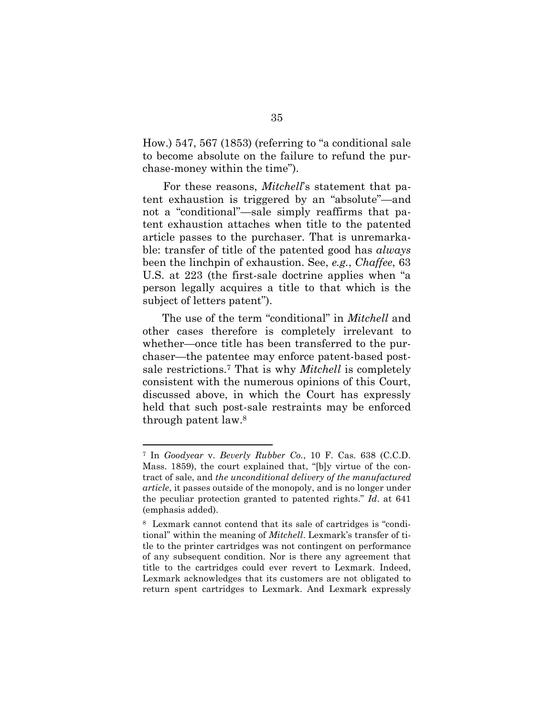How.) 547, 567 (1853) (referring to "a conditional sale to become absolute on the failure to refund the purchase-money within the time").

For these reasons, *Mitchell*'s statement that patent exhaustion is triggered by an "absolute"—and not a "conditional"—sale simply reaffirms that patent exhaustion attaches when title to the patented article passes to the purchaser. That is unremarkable: transfer of title of the patented good has *always* been the linchpin of exhaustion. See, *e.g.*, *Chaffee*, 63 U.S. at 223 (the first-sale doctrine applies when "a person legally acquires a title to that which is the subject of letters patent").

The use of the term "conditional" in *Mitchell* and other cases therefore is completely irrelevant to whether—once title has been transferred to the purchaser—the patentee may enforce patent-based postsale restrictions.<sup>7</sup> That is why *Mitchell* is completely consistent with the numerous opinions of this Court, discussed above, in which the Court has expressly held that such post-sale restraints may be enforced through patent law.<sup>8</sup>

<sup>7</sup> In *Goodyear* v. *Beverly Rubber Co.*, 10 F. Cas. 638 (C.C.D. Mass. 1859), the court explained that, "[b]y virtue of the contract of sale, and *the unconditional delivery of the manufactured article*, it passes outside of the monopoly, and is no longer under the peculiar protection granted to patented rights." *Id*. at 641 (emphasis added).

<sup>8</sup> Lexmark cannot contend that its sale of cartridges is "conditional" within the meaning of *Mitchell*. Lexmark's transfer of title to the printer cartridges was not contingent on performance of any subsequent condition. Nor is there any agreement that title to the cartridges could ever revert to Lexmark. Indeed, Lexmark acknowledges that its customers are not obligated to return spent cartridges to Lexmark. And Lexmark expressly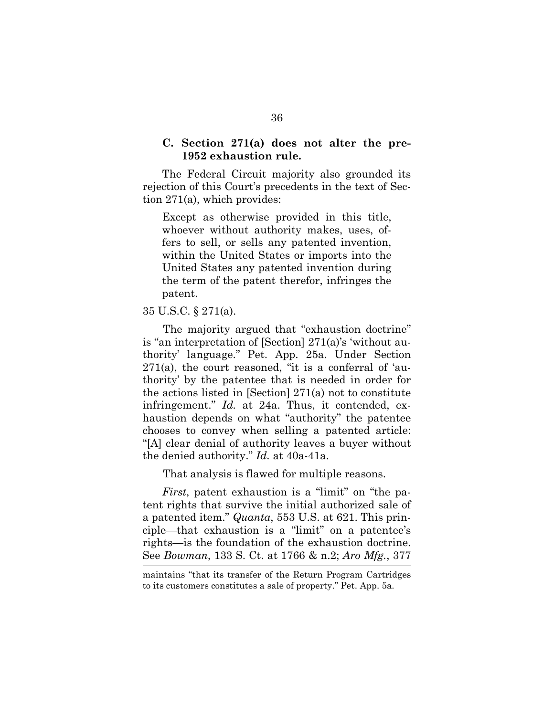#### **C. Section 271(a) does not alter the pre-1952 exhaustion rule.**

The Federal Circuit majority also grounded its rejection of this Court's precedents in the text of Section 271(a), which provides:

Except as otherwise provided in this title, whoever without authority makes, uses, offers to sell, or sells any patented invention, within the United States or imports into the United States any patented invention during the term of the patent therefor, infringes the patent.

#### 35 U.S.C. § 271(a).

The majority argued that "exhaustion doctrine" is "an interpretation of [Section] 271(a)'s 'without authority' language." Pet. App. 25a. Under Section 271(a), the court reasoned, "it is a conferral of 'authority' by the patentee that is needed in order for the actions listed in [Section] 271(a) not to constitute infringement." *Id.* at 24a. Thus, it contended, exhaustion depends on what "authority" the patentee chooses to convey when selling a patented article: "[A] clear denial of authority leaves a buyer without the denied authority." *Id.* at 40a-41a.

That analysis is flawed for multiple reasons.

*First*, patent exhaustion is a "limit" on "the patent rights that survive the initial authorized sale of a patented item." *Quanta*, 553 U.S. at 621. This principle—that exhaustion is a "limit" on a patentee's rights—is the foundation of the exhaustion doctrine. See *Bowman*, 133 S. Ct. at 1766 & n.2; *Aro Mfg.*, 377

maintains "that its transfer of the Return Program Cartridges to its customers constitutes a sale of property." Pet. App. 5a.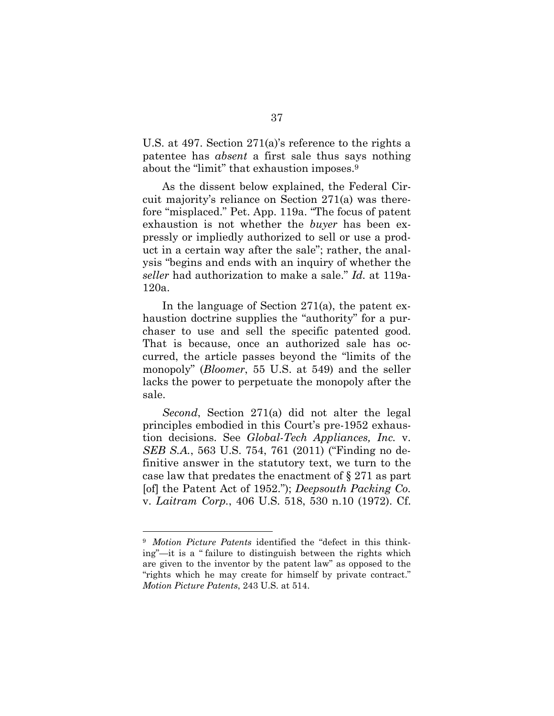U.S. at 497. Section 271(a)'s reference to the rights a patentee has *absent* a first sale thus says nothing about the "limit" that exhaustion imposes.<sup>9</sup>

As the dissent below explained, the Federal Circuit majority's reliance on Section 271(a) was therefore "misplaced." Pet. App. 119a. "The focus of patent exhaustion is not whether the *buyer* has been expressly or impliedly authorized to sell or use a product in a certain way after the sale"; rather, the analysis "begins and ends with an inquiry of whether the *seller* had authorization to make a sale." *Id.* at 119a-120a.

In the language of Section 271(a), the patent exhaustion doctrine supplies the "authority" for a purchaser to use and sell the specific patented good. That is because, once an authorized sale has occurred, the article passes beyond the "limits of the monopoly" (*Bloomer*, 55 U.S. at 549) and the seller lacks the power to perpetuate the monopoly after the sale.

*Second*, Section 271(a) did not alter the legal principles embodied in this Court's pre-1952 exhaustion decisions. See *Global-Tech Appliances, Inc.* v. *SEB S.A.*, 563 U.S. 754, 761 (2011) ("Finding no definitive answer in the statutory text, we turn to the case law that predates the enactment of § 271 as part [of] the Patent Act of 1952."); *Deepsouth Packing Co.* v. *Laitram Corp.*, 406 U.S. 518, 530 n.10 (1972). Cf.

<sup>9</sup> *Motion Picture Patents* identified the "defect in this thinking"—it is a " failure to distinguish between the rights which are given to the inventor by the patent law" as opposed to the "rights which he may create for himself by private contract." *Motion Picture Patents*, 243 U.S. at 514.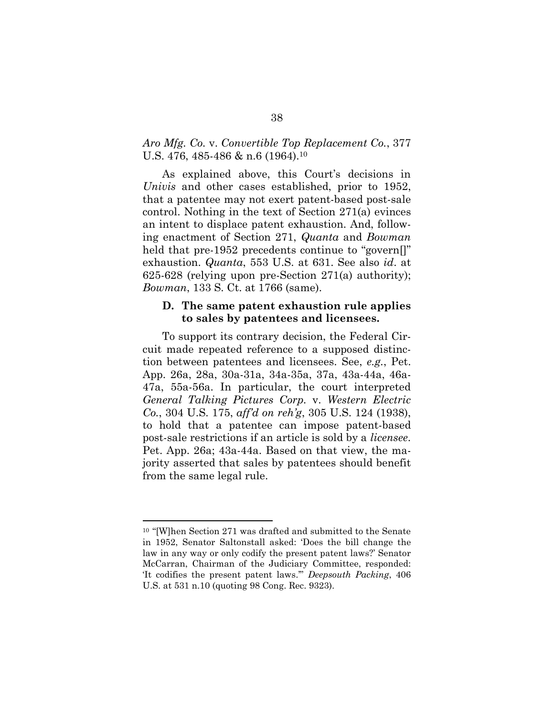#### *Aro Mfg. Co.* v. *Convertible Top Replacement Co.*, 377 U.S. 476, 485-486 & n.6 (1964).<sup>10</sup>

As explained above, this Court's decisions in *Univis* and other cases established, prior to 1952, that a patentee may not exert patent-based post-sale control. Nothing in the text of Section 271(a) evinces an intent to displace patent exhaustion. And, following enactment of Section 271, *Quanta* and *Bowman* held that pre-1952 precedents continue to "govern<sup>[]"</sup> exhaustion. *Quanta*, 553 U.S. at 631. See also *id*. at 625-628 (relying upon pre-Section 271(a) authority); *Bowman*, 133 S. Ct. at 1766 (same).

#### **D. The same patent exhaustion rule applies to sales by patentees and licensees.**

To support its contrary decision, the Federal Circuit made repeated reference to a supposed distinction between patentees and licensees. See, *e.g.*, Pet. App. 26a, 28a, 30a-31a, 34a-35a, 37a, 43a-44a, 46a-47a, 55a-56a. In particular, the court interpreted *General Talking Pictures Corp.* v. *Western Electric Co.*, 304 U.S. 175, *aff'd on reh'g*, 305 U.S. 124 (1938), to hold that a patentee can impose patent-based post-sale restrictions if an article is sold by a *licensee*. Pet. App. 26a; 43a-44a. Based on that view, the majority asserted that sales by patentees should benefit from the same legal rule.

<sup>10</sup> "[W]hen Section 271 was drafted and submitted to the Senate in 1952, Senator Saltonstall asked: 'Does the bill change the law in any way or only codify the present patent laws?' Senator McCarran, Chairman of the Judiciary Committee, responded: 'It codifies the present patent laws.'" *Deepsouth Packing*, 406 U.S. at 531 n.10 (quoting 98 Cong. Rec. 9323).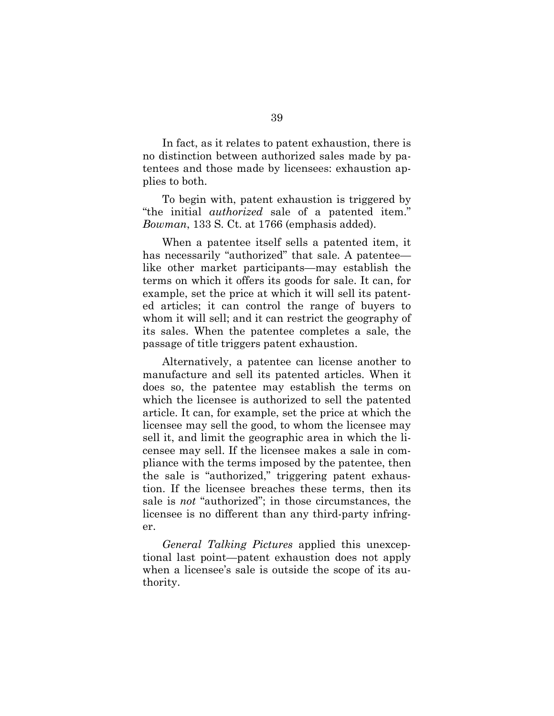In fact, as it relates to patent exhaustion, there is no distinction between authorized sales made by patentees and those made by licensees: exhaustion applies to both.

To begin with, patent exhaustion is triggered by "the initial *authorized* sale of a patented item." *Bowman*, 133 S. Ct. at 1766 (emphasis added).

When a patentee itself sells a patented item, it has necessarily "authorized" that sale. A patentee like other market participants—may establish the terms on which it offers its goods for sale. It can, for example, set the price at which it will sell its patented articles; it can control the range of buyers to whom it will sell; and it can restrict the geography of its sales. When the patentee completes a sale, the passage of title triggers patent exhaustion.

Alternatively, a patentee can license another to manufacture and sell its patented articles. When it does so, the patentee may establish the terms on which the licensee is authorized to sell the patented article. It can, for example, set the price at which the licensee may sell the good, to whom the licensee may sell it, and limit the geographic area in which the licensee may sell. If the licensee makes a sale in compliance with the terms imposed by the patentee, then the sale is "authorized," triggering patent exhaustion. If the licensee breaches these terms, then its sale is *not* "authorized"; in those circumstances, the licensee is no different than any third-party infringer.

*General Talking Pictures* applied this unexceptional last point—patent exhaustion does not apply when a licensee's sale is outside the scope of its authority.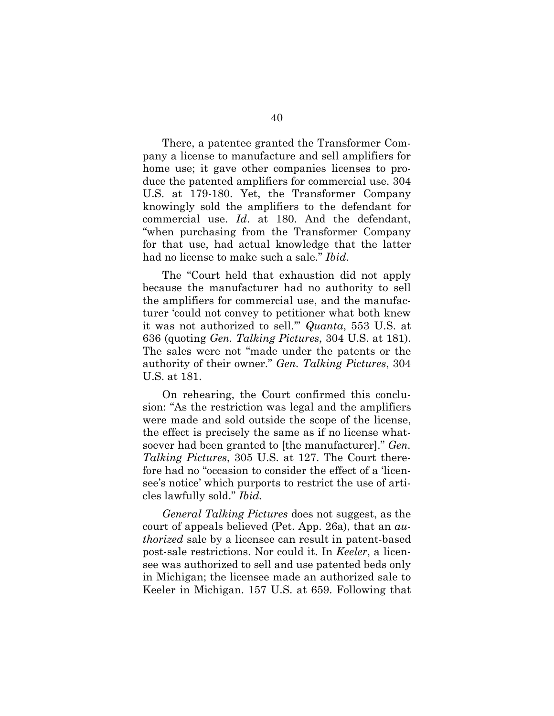There, a patentee granted the Transformer Company a license to manufacture and sell amplifiers for home use; it gave other companies licenses to produce the patented amplifiers for commercial use. 304 U.S. at 179-180. Yet, the Transformer Company knowingly sold the amplifiers to the defendant for commercial use. *Id*. at 180. And the defendant, "when purchasing from the Transformer Company for that use, had actual knowledge that the latter had no license to make such a sale." *Ibid*.

The "Court held that exhaustion did not apply because the manufacturer had no authority to sell the amplifiers for commercial use, and the manufacturer 'could not convey to petitioner what both knew it was not authorized to sell.'" *Quanta*, 553 U.S. at 636 (quoting *Gen. Talking Pictures*, 304 U.S. at 181). The sales were not "made under the patents or the authority of their owner." *Gen. Talking Pictures*, 304 U.S. at 181.

On rehearing, the Court confirmed this conclusion: "As the restriction was legal and the amplifiers were made and sold outside the scope of the license, the effect is precisely the same as if no license whatsoever had been granted to [the manufacturer]." *Gen. Talking Pictures*, 305 U.S. at 127. The Court therefore had no "occasion to consider the effect of a 'licensee's notice' which purports to restrict the use of articles lawfully sold." *Ibid.*

*General Talking Pictures* does not suggest, as the court of appeals believed (Pet. App. 26a), that an *authorized* sale by a licensee can result in patent-based post-sale restrictions. Nor could it. In *Keeler*, a licensee was authorized to sell and use patented beds only in Michigan; the licensee made an authorized sale to Keeler in Michigan. 157 U.S. at 659. Following that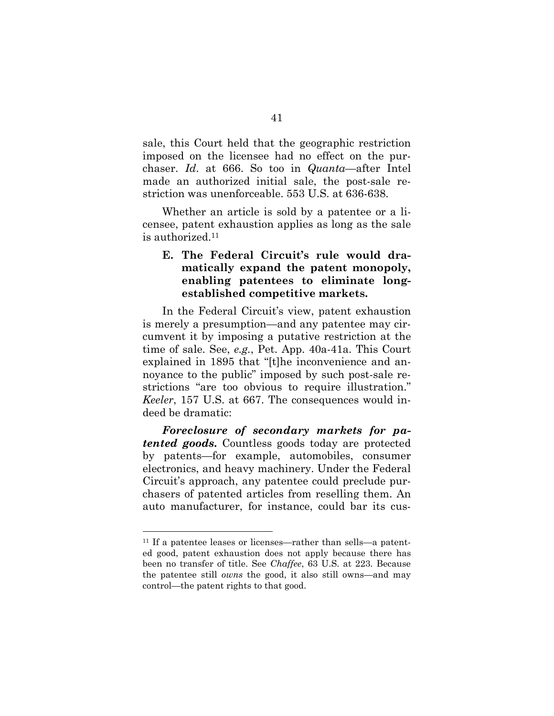sale, this Court held that the geographic restriction imposed on the licensee had no effect on the purchaser. *Id*. at 666. So too in *Quanta*—after Intel made an authorized initial sale, the post-sale restriction was unenforceable. 553 U.S. at 636-638.

Whether an article is sold by a patentee or a licensee, patent exhaustion applies as long as the sale is authorized.<sup>11</sup>

### **E. The Federal Circuit's rule would dramatically expand the patent monopoly, enabling patentees to eliminate longestablished competitive markets.**

In the Federal Circuit's view, patent exhaustion is merely a presumption—and any patentee may circumvent it by imposing a putative restriction at the time of sale. See, *e.g.*, Pet. App. 40a-41a. This Court explained in 1895 that "[t]he inconvenience and annoyance to the public" imposed by such post-sale restrictions "are too obvious to require illustration." *Keeler*, 157 U.S. at 667. The consequences would indeed be dramatic:

*Foreclosure of secondary markets for patented goods***.** Countless goods today are protected by patents—for example, automobiles, consumer electronics, and heavy machinery. Under the Federal Circuit's approach, any patentee could preclude purchasers of patented articles from reselling them. An auto manufacturer, for instance, could bar its cus-

<sup>11</sup> If a patentee leases or licenses—rather than sells—a patented good, patent exhaustion does not apply because there has been no transfer of title. See *Chaffee*, 63 U.S. at 223. Because the patentee still *owns* the good, it also still owns—and may control—the patent rights to that good.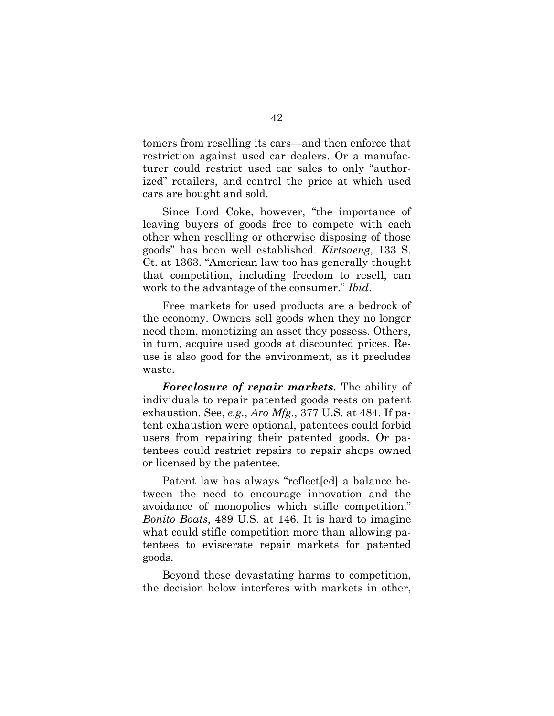tomers from reselling its cars—and then enforce that restriction against used car dealers. Or a manufacturer could restrict used car sales to only "authorized" retailers, and control the price at which used cars are bought and sold.

Since Lord Coke, however, "the importance of leaving buyers of goods free to compete with each other when reselling or otherwise disposing of those goods" has been well established. *Kirtsaeng*, 133 S. Ct. at 1363. "American law too has generally thought that competition, including freedom to resell, can work to the advantage of the consumer." *Ibid*.

Free markets for used products are a bedrock of the economy. Owners sell goods when they no longer need them, monetizing an asset they possess. Others, in turn, acquire used goods at discounted prices. Reuse is also good for the environment, as it precludes waste.

*Foreclosure of repair markets***.** The ability of individuals to repair patented goods rests on patent exhaustion. See, *e.g.*, *Aro Mfg.*, 377 U.S. at 484. If patent exhaustion were optional, patentees could forbid users from repairing their patented goods. Or patentees could restrict repairs to repair shops owned or licensed by the patentee.

Patent law has always "reflect[ed] a balance between the need to encourage innovation and the avoidance of monopolies which stifle competition." *Bonito Boats*, 489 U.S. at 146. It is hard to imagine what could stifle competition more than allowing patentees to eviscerate repair markets for patented goods.

Beyond these devastating harms to competition, the decision below interferes with markets in other,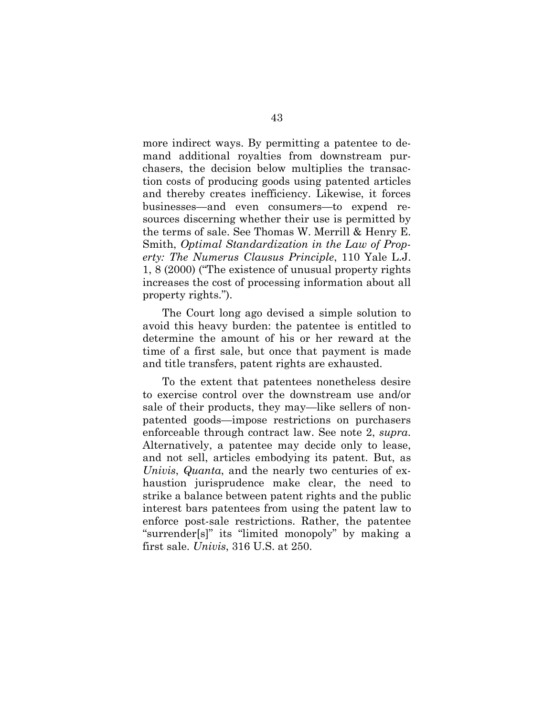more indirect ways. By permitting a patentee to demand additional royalties from downstream purchasers, the decision below multiplies the transaction costs of producing goods using patented articles and thereby creates inefficiency. Likewise, it forces businesses—and even consumers—to expend resources discerning whether their use is permitted by the terms of sale. See Thomas W. Merrill & Henry E. Smith, *Optimal Standardization in the Law of Property: The Numerus Clausus Principle*, 110 Yale L.J. 1, 8 (2000) ("The existence of unusual property rights increases the cost of processing information about all property rights.").

The Court long ago devised a simple solution to avoid this heavy burden: the patentee is entitled to determine the amount of his or her reward at the time of a first sale, but once that payment is made and title transfers, patent rights are exhausted.

To the extent that patentees nonetheless desire to exercise control over the downstream use and/or sale of their products, they may—like sellers of nonpatented goods—impose restrictions on purchasers enforceable through contract law. See note 2, *supra*. Alternatively, a patentee may decide only to lease, and not sell, articles embodying its patent. But, as *Univis*, *Quanta*, and the nearly two centuries of exhaustion jurisprudence make clear, the need to strike a balance between patent rights and the public interest bars patentees from using the patent law to enforce post-sale restrictions. Rather, the patentee "surrender[s]" its "limited monopoly" by making a first sale. *Univis*, 316 U.S. at 250.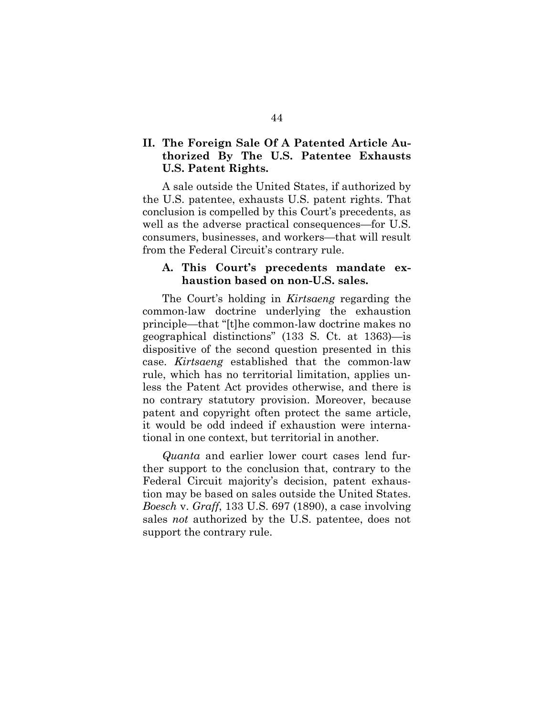### **II. The Foreign Sale Of A Patented Article Authorized By The U.S. Patentee Exhausts U.S. Patent Rights.**

A sale outside the United States, if authorized by the U.S. patentee, exhausts U.S. patent rights. That conclusion is compelled by this Court's precedents, as well as the adverse practical consequences—for U.S. consumers, businesses, and workers—that will result from the Federal Circuit's contrary rule.

#### **A. This Court's precedents mandate exhaustion based on non-U.S. sales.**

The Court's holding in *Kirtsaeng* regarding the common-law doctrine underlying the exhaustion principle—that "[t]he common-law doctrine makes no geographical distinctions" (133 S. Ct. at 1363)—is dispositive of the second question presented in this case. *Kirtsaeng* established that the common-law rule, which has no territorial limitation, applies unless the Patent Act provides otherwise, and there is no contrary statutory provision. Moreover, because patent and copyright often protect the same article, it would be odd indeed if exhaustion were international in one context, but territorial in another.

*Quanta* and earlier lower court cases lend further support to the conclusion that, contrary to the Federal Circuit majority's decision, patent exhaustion may be based on sales outside the United States. *Boesch* v. *Graff*, 133 U.S. 697 (1890), a case involving sales *not* authorized by the U.S. patentee, does not support the contrary rule.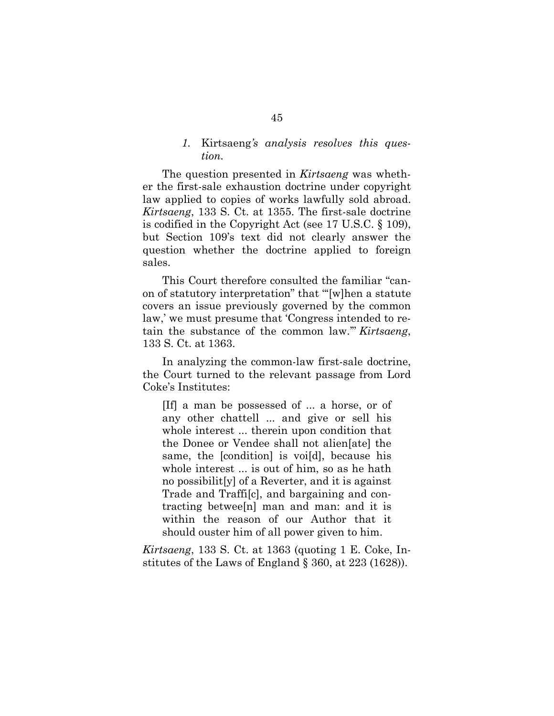#### *1.* Kirtsaeng*'s analysis resolves this question.*

The question presented in *Kirtsaeng* was whether the first-sale exhaustion doctrine under copyright law applied to copies of works lawfully sold abroad. *Kirtsaeng*, 133 S. Ct. at 1355. The first-sale doctrine is codified in the Copyright Act (see 17 U.S.C. § 109), but Section 109's text did not clearly answer the question whether the doctrine applied to foreign sales.

This Court therefore consulted the familiar "canon of statutory interpretation" that "'[w]hen a statute covers an issue previously governed by the common law,' we must presume that 'Congress intended to retain the substance of the common law.'" *Kirtsaeng*, 133 S. Ct. at 1363.

In analyzing the common-law first-sale doctrine, the Court turned to the relevant passage from Lord Coke's Institutes:

[If] a man be possessed of ... a horse, or of any other chattell ... and give or sell his whole interest ... therein upon condition that the Donee or Vendee shall not alien[ate] the same, the [condition] is voi[d], because his whole interest ... is out of him, so as he hath no possibilit[y] of a Reverter, and it is against Trade and Traffi[c], and bargaining and contracting betwee[n] man and man: and it is within the reason of our Author that it should ouster him of all power given to him.

*Kirtsaeng*, 133 S. Ct. at 1363 (quoting 1 E. Coke, Institutes of the Laws of England § 360, at 223 (1628)).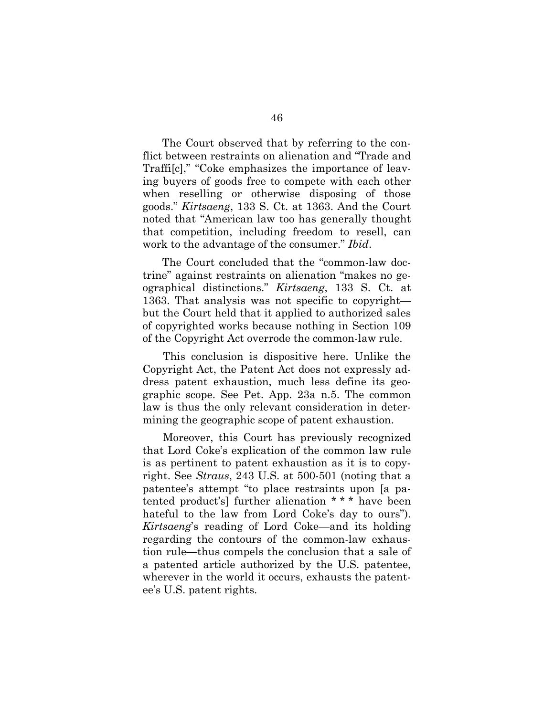The Court observed that by referring to the conflict between restraints on alienation and "Trade and Traffi[c]," "Coke emphasizes the importance of leaving buyers of goods free to compete with each other when reselling or otherwise disposing of those goods." *Kirtsaeng*, 133 S. Ct. at 1363. And the Court noted that "American law too has generally thought that competition, including freedom to resell, can work to the advantage of the consumer." *Ibid*.

The Court concluded that the "common-law doctrine" against restraints on alienation "makes no geographical distinctions." *Kirtsaeng*, 133 S. Ct. at 1363. That analysis was not specific to copyright but the Court held that it applied to authorized sales of copyrighted works because nothing in Section 109 of the Copyright Act overrode the common-law rule.

This conclusion is dispositive here. Unlike the Copyright Act, the Patent Act does not expressly address patent exhaustion, much less define its geographic scope. See Pet. App. 23a n.5. The common law is thus the only relevant consideration in determining the geographic scope of patent exhaustion.

Moreover, this Court has previously recognized that Lord Coke's explication of the common law rule is as pertinent to patent exhaustion as it is to copyright. See *Straus*, 243 U.S. at 500-501 (noting that a patentee's attempt "to place restraints upon [a patented product's] further alienation \* \* \* have been hateful to the law from Lord Coke's day to ours"). *Kirtsaeng*'s reading of Lord Coke—and its holding regarding the contours of the common-law exhaustion rule—thus compels the conclusion that a sale of a patented article authorized by the U.S. patentee, wherever in the world it occurs, exhausts the patentee's U.S. patent rights.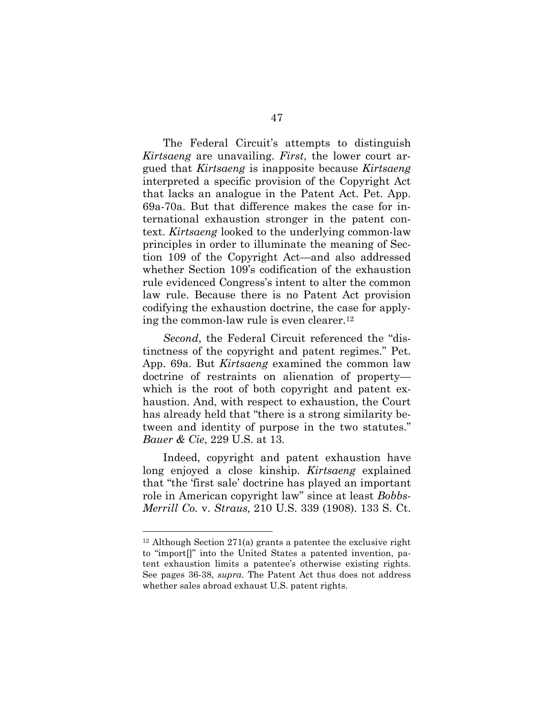The Federal Circuit's attempts to distinguish *Kirtsaeng* are unavailing. *First*, the lower court argued that *Kirtsaeng* is inapposite because *Kirtsaeng* interpreted a specific provision of the Copyright Act that lacks an analogue in the Patent Act. Pet. App. 69a-70a. But that difference makes the case for international exhaustion stronger in the patent context. *Kirtsaeng* looked to the underlying common-law principles in order to illuminate the meaning of Section 109 of the Copyright Act—and also addressed whether Section 109's codification of the exhaustion rule evidenced Congress's intent to alter the common law rule. Because there is no Patent Act provision codifying the exhaustion doctrine, the case for applying the common-law rule is even clearer.<sup>12</sup>

*Second*, the Federal Circuit referenced the "distinctness of the copyright and patent regimes." Pet. App. 69a. But *Kirtsaeng* examined the common law doctrine of restraints on alienation of property which is the root of both copyright and patent exhaustion. And, with respect to exhaustion, the Court has already held that "there is a strong similarity between and identity of purpose in the two statutes." *Bauer & Cie*, 229 U.S. at 13.

Indeed, copyright and patent exhaustion have long enjoyed a close kinship. *Kirtsaeng* explained that "the 'first sale' doctrine has played an important role in American copyright law" since at least *Bobbs-Merrill Co.* v. *Straus,* 210 U.S. 339 (1908). 133 S. Ct.

<sup>12</sup> Although Section 271(a) grants a patentee the exclusive right to "import[]" into the United States a patented invention, patent exhaustion limits a patentee's otherwise existing rights. See pages 36-38, *supra*. The Patent Act thus does not address whether sales abroad exhaust U.S. patent rights.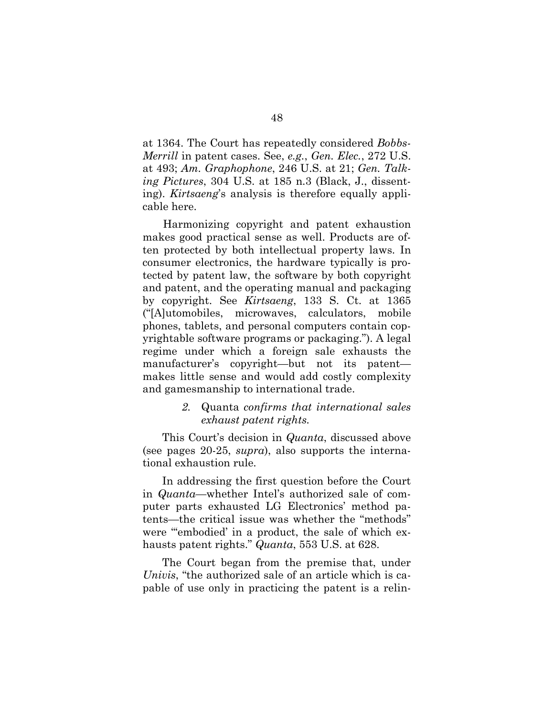at 1364. The Court has repeatedly considered *Bobbs-Merrill* in patent cases. See, *e.g.*, *Gen. Elec.*, 272 U.S. at 493; *Am. Graphophone*, 246 U.S. at 21; *Gen. Talking Pictures*, 304 U.S. at 185 n.3 (Black, J., dissenting). *Kirtsaeng*'s analysis is therefore equally applicable here.

Harmonizing copyright and patent exhaustion makes good practical sense as well. Products are often protected by both intellectual property laws. In consumer electronics, the hardware typically is protected by patent law, the software by both copyright and patent, and the operating manual and packaging by copyright. See *Kirtsaeng*, 133 S. Ct. at 1365 ("[A]utomobiles, microwaves, calculators, mobile phones, tablets, and personal computers contain copyrightable software programs or packaging."). A legal regime under which a foreign sale exhausts the manufacturer's copyright—but not its patent makes little sense and would add costly complexity and gamesmanship to international trade.

#### *2.* Quanta *confirms that international sales exhaust patent rights.*

This Court's decision in *Quanta*, discussed above (see pages 20-25, *supra*), also supports the international exhaustion rule.

In addressing the first question before the Court in *Quanta*—whether Intel's authorized sale of computer parts exhausted LG Electronics' method patents—the critical issue was whether the "methods" were "'embodied' in a product, the sale of which exhausts patent rights." *Quanta*, 553 U.S. at 628.

The Court began from the premise that, under *Univis*, "the authorized sale of an article which is capable of use only in practicing the patent is a relin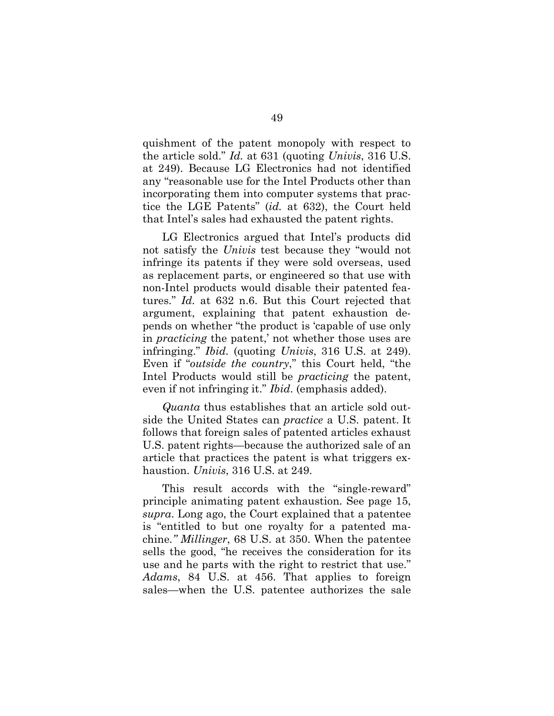quishment of the patent monopoly with respect to the article sold." *Id.* at 631 (quoting *Univis*, 316 U.S. at 249). Because LG Electronics had not identified any "reasonable use for the Intel Products other than incorporating them into computer systems that practice the LGE Patents" (*id.* at 632), the Court held that Intel's sales had exhausted the patent rights.

LG Electronics argued that Intel's products did not satisfy the *Univis* test because they "would not infringe its patents if they were sold overseas, used as replacement parts, or engineered so that use with non-Intel products would disable their patented features." *Id.* at 632 n.6. But this Court rejected that argument, explaining that patent exhaustion depends on whether "the product is 'capable of use only in *practicing* the patent,' not whether those uses are infringing." *Ibid.* (quoting *Univis*, 316 U.S. at 249). Even if "*outside the country*," this Court held, "the Intel Products would still be *practicing* the patent, even if not infringing it." *Ibid*. (emphasis added).

*Quanta* thus establishes that an article sold outside the United States can *practice* a U.S. patent. It follows that foreign sales of patented articles exhaust U.S. patent rights—because the authorized sale of an article that practices the patent is what triggers exhaustion. *Univis*, 316 U.S. at 249.

This result accords with the "single-reward" principle animating patent exhaustion. See page 15, *supra*. Long ago, the Court explained that a patentee is "entitled to but one royalty for a patented machine*." Millinger*, 68 U.S. at 350. When the patentee sells the good, "he receives the consideration for its use and he parts with the right to restrict that use." *Adams*, 84 U.S. at 456. That applies to foreign sales—when the U.S. patentee authorizes the sale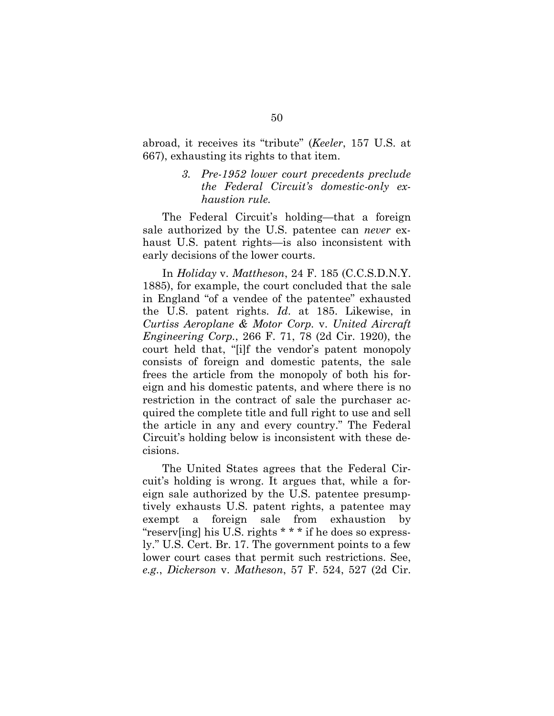abroad, it receives its "tribute" (*Keeler*, 157 U.S. at 667), exhausting its rights to that item.

#### *3. Pre-1952 lower court precedents preclude the Federal Circuit's domestic-only exhaustion rule.*

The Federal Circuit's holding—that a foreign sale authorized by the U.S. patentee can *never* exhaust U.S. patent rights—is also inconsistent with early decisions of the lower courts.

In *Holiday* v. *Mattheson*, 24 F. 185 (C.C.S.D.N.Y. 1885), for example, the court concluded that the sale in England "of a vendee of the patentee" exhausted the U.S. patent rights. *Id*. at 185. Likewise, in *Curtiss Aeroplane & Motor Corp.* v. *United Aircraft Engineering Corp.*, 266 F. 71, 78 (2d Cir. 1920), the court held that, "[i]f the vendor's patent monopoly consists of foreign and domestic patents, the sale frees the article from the monopoly of both his foreign and his domestic patents, and where there is no restriction in the contract of sale the purchaser acquired the complete title and full right to use and sell the article in any and every country." The Federal Circuit's holding below is inconsistent with these decisions.

The United States agrees that the Federal Circuit's holding is wrong. It argues that, while a foreign sale authorized by the U.S. patentee presumptively exhausts U.S. patent rights, a patentee may exempt a foreign sale from exhaustion by "reserv[ing] his U.S. rights \* \* \* if he does so expressly." U.S. Cert. Br. 17. The government points to a few lower court cases that permit such restrictions. See, *e.g.*, *Dickerson* v. *Matheson*, 57 F. 524, 527 (2d Cir.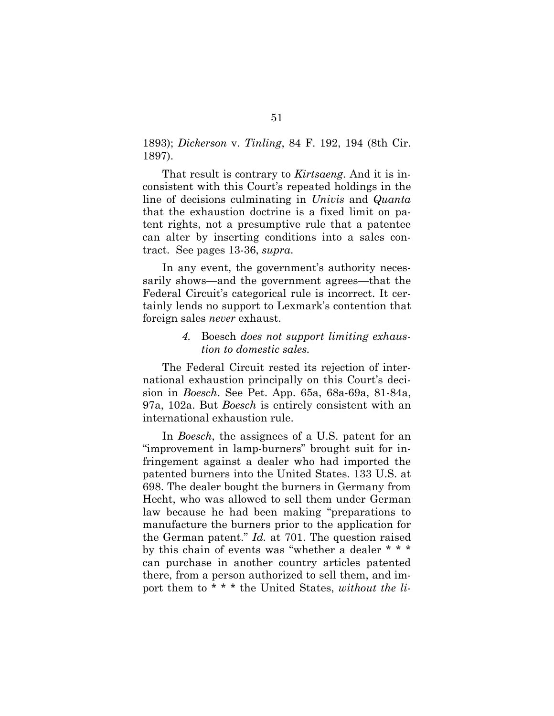1893); *Dickerson* v. *Tinling*, 84 F. 192, 194 (8th Cir. 1897).

That result is contrary to *Kirtsaeng*. And it is inconsistent with this Court's repeated holdings in the line of decisions culminating in *Univis* and *Quanta* that the exhaustion doctrine is a fixed limit on patent rights, not a presumptive rule that a patentee can alter by inserting conditions into a sales contract. See pages 13-36, *supra*.

In any event, the government's authority necessarily shows—and the government agrees—that the Federal Circuit's categorical rule is incorrect. It certainly lends no support to Lexmark's contention that foreign sales *never* exhaust.

#### *4.* Boesch *does not support limiting exhaustion to domestic sales.*

The Federal Circuit rested its rejection of international exhaustion principally on this Court's decision in *Boesch*. See Pet. App. 65a, 68a-69a, 81-84a, 97a, 102a. But *Boesch* is entirely consistent with an international exhaustion rule.

In *Boesch*, the assignees of a U.S. patent for an "improvement in lamp-burners" brought suit for infringement against a dealer who had imported the patented burners into the United States. 133 U.S. at 698. The dealer bought the burners in Germany from Hecht, who was allowed to sell them under German law because he had been making "preparations to manufacture the burners prior to the application for the German patent." *Id.* at 701. The question raised by this chain of events was "whether a dealer \* \* \* can purchase in another country articles patented there, from a person authorized to sell them, and import them to \* \* \* the United States, *without the li-*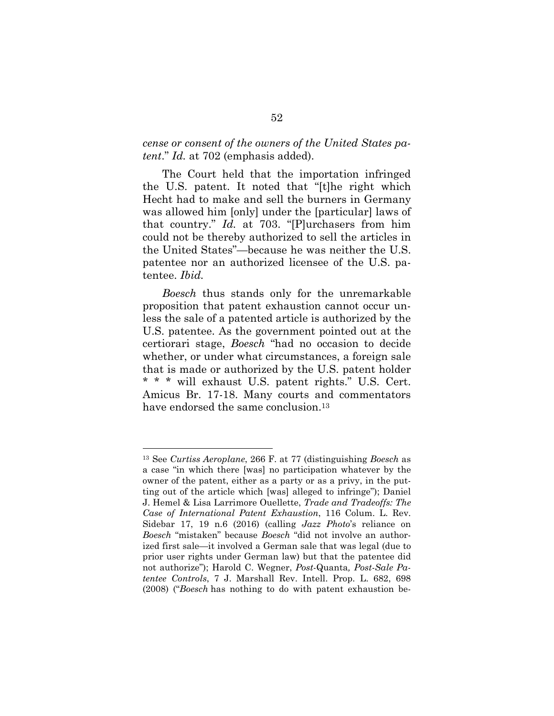#### *cense or consent of the owners of the United States patent*." *Id.* at 702 (emphasis added).

The Court held that the importation infringed the U.S. patent. It noted that "[t]he right which Hecht had to make and sell the burners in Germany was allowed him [only] under the [particular] laws of that country." *Id.* at 703. "[P]urchasers from him could not be thereby authorized to sell the articles in the United States"—because he was neither the U.S. patentee nor an authorized licensee of the U.S. patentee. *Ibid.*

*Boesch* thus stands only for the unremarkable proposition that patent exhaustion cannot occur unless the sale of a patented article is authorized by the U.S. patentee. As the government pointed out at the certiorari stage, *Boesch* "had no occasion to decide whether, or under what circumstances, a foreign sale that is made or authorized by the U.S. patent holder \* \* \* will exhaust U.S. patent rights." U.S. Cert. Amicus Br. 17-18. Many courts and commentators have endorsed the same conclusion.<sup>13</sup>

<sup>13</sup> See *Curtiss Aeroplane*, 266 F. at 77 (distinguishing *Boesch* as a case "in which there [was] no participation whatever by the owner of the patent, either as a party or as a privy, in the putting out of the article which [was] alleged to infringe"); Daniel J. Hemel & Lisa Larrimore Ouellette, *Trade and Tradeoffs: The Case of International Patent Exhaustion*, 116 Colum. L. Rev. Sidebar 17, 19 n.6 (2016) (calling *Jazz Photo*'s reliance on *Boesch* "mistaken" because *Boesch* "did not involve an authorized first sale—it involved a German sale that was legal (due to prior user rights under German law) but that the patentee did not authorize"); Harold C. Wegner, *Post*-Quanta*, Post-Sale Patentee Controls*, 7 J. Marshall Rev. Intell. Prop. L. 682, 698 (2008) ("*Boesch* has nothing to do with patent exhaustion be-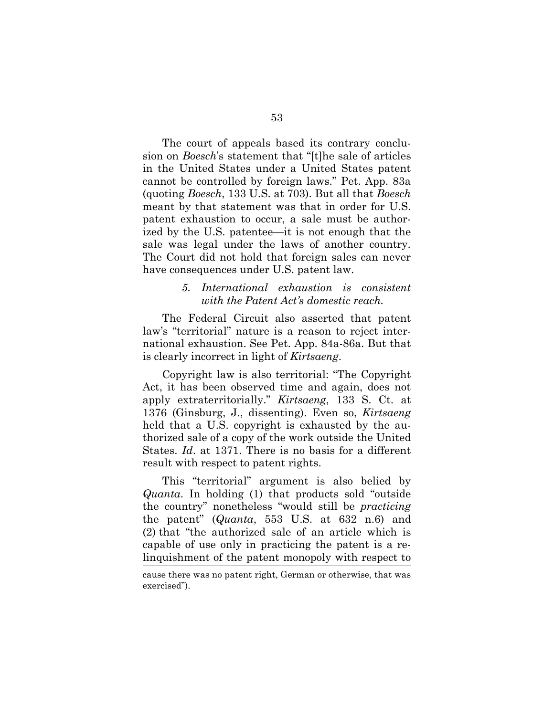The court of appeals based its contrary conclusion on *Boesch*'s statement that "[t]he sale of articles in the United States under a United States patent cannot be controlled by foreign laws." Pet. App. 83a (quoting *Boesch*, 133 U.S. at 703). But all that *Boesch* meant by that statement was that in order for U.S. patent exhaustion to occur, a sale must be authorized by the U.S. patentee—it is not enough that the sale was legal under the laws of another country. The Court did not hold that foreign sales can never have consequences under U.S. patent law.

#### *5. International exhaustion is consistent with the Patent Act's domestic reach.*

The Federal Circuit also asserted that patent law's "territorial" nature is a reason to reject international exhaustion. See Pet. App. 84a-86a. But that is clearly incorrect in light of *Kirtsaeng*.

Copyright law is also territorial: "The Copyright Act, it has been observed time and again, does not apply extraterritorially." *Kirtsaeng*, 133 S. Ct. at 1376 (Ginsburg, J., dissenting). Even so, *Kirtsaeng* held that a U.S. copyright is exhausted by the authorized sale of a copy of the work outside the United States. *Id*. at 1371. There is no basis for a different result with respect to patent rights.

This "territorial" argument is also belied by *Quanta*. In holding (1) that products sold "outside the country" nonetheless "would still be *practicing* the patent" (*Quanta*, 553 U.S. at 632 n.6) and (2) that "the authorized sale of an article which is capable of use only in practicing the patent is a relinquishment of the patent monopoly with respect to

cause there was no patent right, German or otherwise, that was exercised").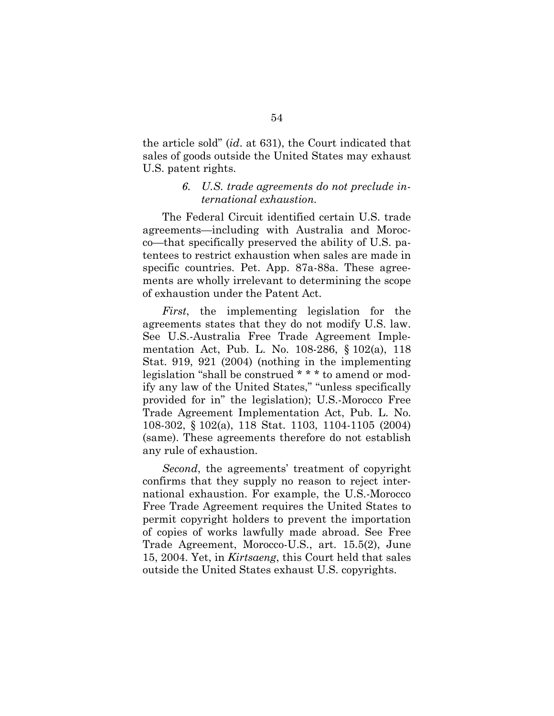the article sold" (*id*. at 631), the Court indicated that sales of goods outside the United States may exhaust U.S. patent rights.

#### *6. U.S. trade agreements do not preclude international exhaustion.*

The Federal Circuit identified certain U.S. trade agreements—including with Australia and Morocco—that specifically preserved the ability of U.S. patentees to restrict exhaustion when sales are made in specific countries. Pet. App. 87a-88a. These agreements are wholly irrelevant to determining the scope of exhaustion under the Patent Act.

*First*, the implementing legislation for the agreements states that they do not modify U.S. law. See U.S.-Australia Free Trade Agreement Implementation Act, Pub. L. No. 108-286, § 102(a), 118 Stat. 919, 921 (2004) (nothing in the implementing legislation "shall be construed \* \* \* to amend or modify any law of the United States," "unless specifically provided for in" the legislation); U.S.-Morocco Free Trade Agreement Implementation Act, Pub. L. No. 108-302, § 102(a), 118 Stat. 1103, 1104-1105 (2004) (same). These agreements therefore do not establish any rule of exhaustion.

*Second*, the agreements' treatment of copyright confirms that they supply no reason to reject international exhaustion. For example, the U.S.-Morocco Free Trade Agreement requires the United States to permit copyright holders to prevent the importation of copies of works lawfully made abroad. See Free Trade Agreement, Morocco-U.S., art. 15.5(2), June 15, 2004. Yet, in *Kirtsaeng*, this Court held that sales outside the United States exhaust U.S. copyrights.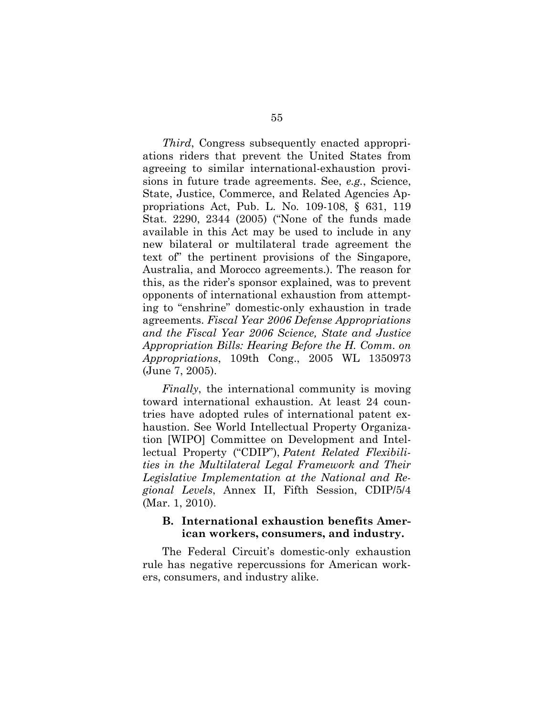*Third*, Congress subsequently enacted appropriations riders that prevent the United States from agreeing to similar international-exhaustion provisions in future trade agreements. See, *e.g.*, Science, State, Justice, Commerce, and Related Agencies Appropriations Act, Pub. L. No. 109-108, § 631, 119 Stat. 2290, 2344 (2005) ("None of the funds made available in this Act may be used to include in any new bilateral or multilateral trade agreement the text of" the pertinent provisions of the Singapore, Australia, and Morocco agreements.). The reason for this, as the rider's sponsor explained, was to prevent opponents of international exhaustion from attempting to "enshrine" domestic-only exhaustion in trade agreements. *Fiscal Year 2006 Defense Appropriations and the Fiscal Year 2006 Science, State and Justice Appropriation Bills: Hearing Before the H. Comm. on Appropriations*, 109th Cong., 2005 WL 1350973 (June 7, 2005).

*Finally*, the international community is moving toward international exhaustion. At least 24 countries have adopted rules of international patent exhaustion. See World Intellectual Property Organization [WIPO] Committee on Development and Intellectual Property ("CDIP"), *Patent Related Flexibilities in the Multilateral Legal Framework and Their Legislative Implementation at the National and Regional Levels*, Annex II, Fifth Session, CDIP/5/4 (Mar. 1, 2010).

#### **B. International exhaustion benefits American workers, consumers, and industry.**

The Federal Circuit's domestic-only exhaustion rule has negative repercussions for American workers, consumers, and industry alike.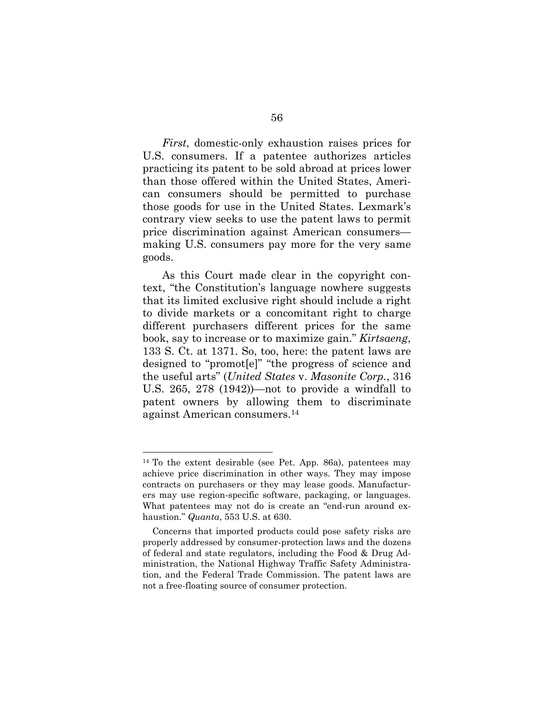*First*, domestic-only exhaustion raises prices for U.S. consumers. If a patentee authorizes articles practicing its patent to be sold abroad at prices lower than those offered within the United States, American consumers should be permitted to purchase those goods for use in the United States. Lexmark's contrary view seeks to use the patent laws to permit price discrimination against American consumers making U.S. consumers pay more for the very same goods.

As this Court made clear in the copyright context, "the Constitution's language nowhere suggests that its limited exclusive right should include a right to divide markets or a concomitant right to charge different purchasers different prices for the same book, say to increase or to maximize gain." *Kirtsaeng*, 133 S. Ct. at 1371. So, too, here: the patent laws are designed to "promot[e]" "the progress of science and the useful arts" (*United States* v. *Masonite Corp.*, 316 U.S. 265, 278 (1942))—not to provide a windfall to patent owners by allowing them to discriminate against American consumers.<sup>14</sup>

<sup>&</sup>lt;sup>14</sup> To the extent desirable (see Pet. App. 86a), patentees may achieve price discrimination in other ways. They may impose contracts on purchasers or they may lease goods. Manufacturers may use region-specific software, packaging, or languages. What patentees may not do is create an "end-run around exhaustion." *Quanta*, 553 U.S. at 630.

Concerns that imported products could pose safety risks are properly addressed by consumer-protection laws and the dozens of federal and state regulators, including the Food & Drug Administration, the National Highway Traffic Safety Administration, and the Federal Trade Commission. The patent laws are not a free-floating source of consumer protection.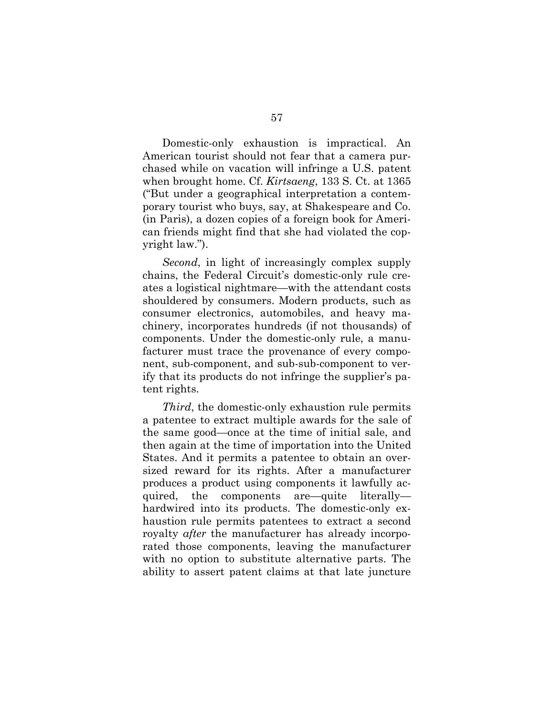Domestic-only exhaustion is impractical. An American tourist should not fear that a camera purchased while on vacation will infringe a U.S. patent when brought home. Cf. *Kirtsaeng*, 133 S. Ct. at 1365 ("But under a geographical interpretation a contemporary tourist who buys, say, at Shakespeare and Co. (in Paris), a dozen copies of a foreign book for American friends might find that she had violated the copyright law.").

*Second*, in light of increasingly complex supply chains, the Federal Circuit's domestic-only rule creates a logistical nightmare—with the attendant costs shouldered by consumers. Modern products, such as consumer electronics, automobiles, and heavy machinery, incorporates hundreds (if not thousands) of components. Under the domestic-only rule, a manufacturer must trace the provenance of every component, sub-component, and sub-sub-component to verify that its products do not infringe the supplier's patent rights.

*Third*, the domestic-only exhaustion rule permits a patentee to extract multiple awards for the sale of the same good—once at the time of initial sale, and then again at the time of importation into the United States. And it permits a patentee to obtain an oversized reward for its rights. After a manufacturer produces a product using components it lawfully acquired, the components are—quite literally hardwired into its products. The domestic-only exhaustion rule permits patentees to extract a second royalty *after* the manufacturer has already incorporated those components, leaving the manufacturer with no option to substitute alternative parts. The ability to assert patent claims at that late juncture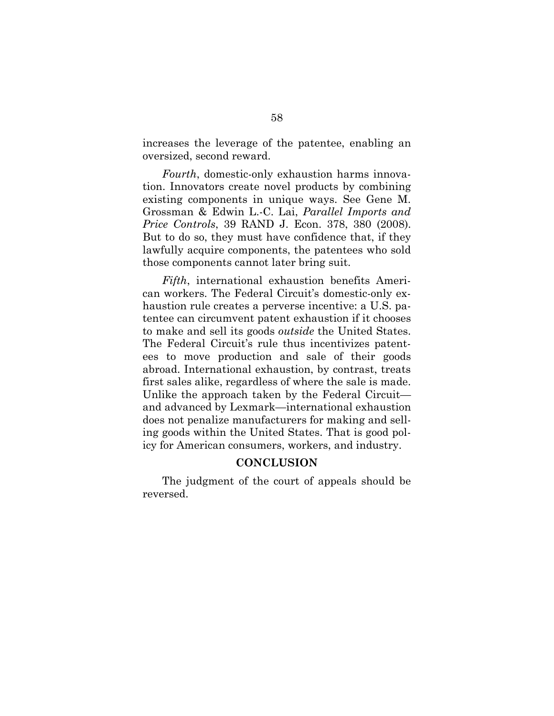increases the leverage of the patentee, enabling an oversized, second reward.

*Fourth*, domestic-only exhaustion harms innovation. Innovators create novel products by combining existing components in unique ways. See Gene M. Grossman & Edwin L.-C. Lai, *Parallel Imports and Price Controls*, 39 RAND J. Econ. 378, 380 (2008). But to do so, they must have confidence that, if they lawfully acquire components, the patentees who sold those components cannot later bring suit.

*Fifth*, international exhaustion benefits American workers. The Federal Circuit's domestic-only exhaustion rule creates a perverse incentive: a U.S. patentee can circumvent patent exhaustion if it chooses to make and sell its goods *outside* the United States. The Federal Circuit's rule thus incentivizes patentees to move production and sale of their goods abroad. International exhaustion, by contrast, treats first sales alike, regardless of where the sale is made. Unlike the approach taken by the Federal Circuit and advanced by Lexmark—international exhaustion does not penalize manufacturers for making and selling goods within the United States. That is good policy for American consumers, workers, and industry.

#### **CONCLUSION**

The judgment of the court of appeals should be reversed.